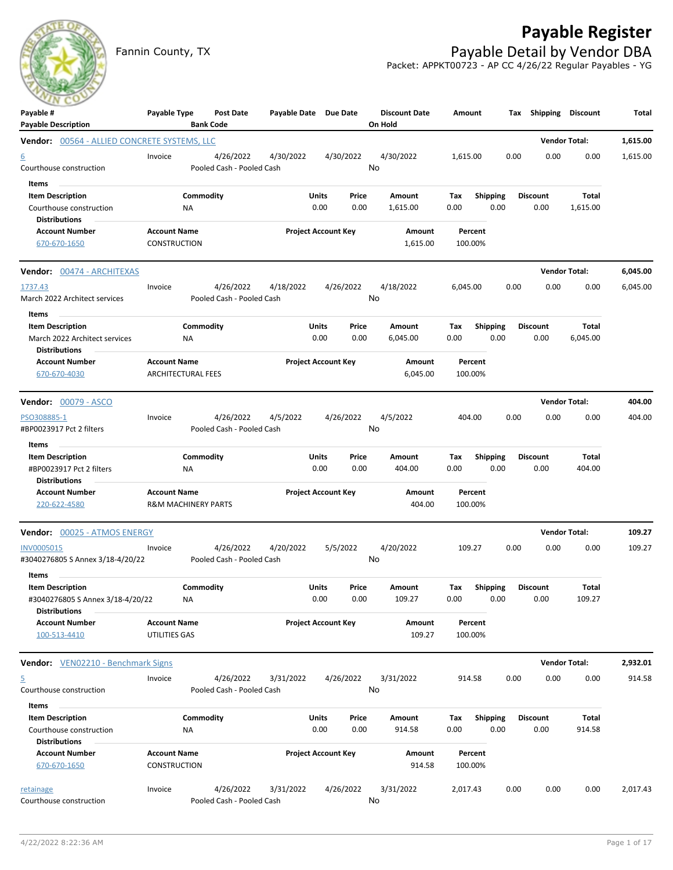## **Payable Register**



Fannin County, TX **Payable Detail by Vendor DBA** Packet: APPKT00723 - AP CC 4/26/22 Regular Payables - YG

| $\sim$<br>Payable #                                      | Payable Type                   | Post Date                              | Payable Date Due Date |                            | <b>Discount Date</b> | Amount   |                 | Tax Shipping Discount |                      | Total    |
|----------------------------------------------------------|--------------------------------|----------------------------------------|-----------------------|----------------------------|----------------------|----------|-----------------|-----------------------|----------------------|----------|
| <b>Payable Description</b>                               |                                | <b>Bank Code</b>                       |                       |                            | On Hold              |          |                 |                       | <b>Vendor Total:</b> |          |
| <b>Vendor: 00564 - ALLIED CONCRETE SYSTEMS, LLC</b>      |                                | 4/26/2022                              |                       | 4/30/2022                  | 4/30/2022            | 1,615.00 |                 | 0.00<br>0.00          | 0.00                 | 1,615.00 |
| $\underline{6}$<br>Courthouse construction               | Invoice                        | Pooled Cash - Pooled Cash              | 4/30/2022             |                            | No                   |          |                 |                       |                      | 1,615.00 |
| Items                                                    |                                |                                        |                       |                            |                      |          |                 |                       |                      |          |
| <b>Item Description</b>                                  |                                | Commodity                              |                       | Units<br>Price             | Amount               | Tax      | <b>Shipping</b> | <b>Discount</b>       | <b>Total</b>         |          |
| Courthouse construction                                  | ΝA                             |                                        |                       | 0.00<br>0.00               | 1,615.00             | 0.00     | 0.00            | 0.00                  | 1,615.00             |          |
| <b>Distributions</b>                                     |                                |                                        |                       |                            |                      |          |                 |                       |                      |          |
| <b>Account Number</b>                                    | <b>Account Name</b>            |                                        |                       | <b>Project Account Key</b> | Amount               | Percent  |                 |                       |                      |          |
| 670-670-1650                                             | CONSTRUCTION                   |                                        |                       |                            | 1,615.00             | 100.00%  |                 |                       |                      |          |
| Vendor: 00474 - ARCHITEXAS                               |                                |                                        |                       |                            |                      |          |                 |                       | <b>Vendor Total:</b> | 6,045.00 |
| 1737.43                                                  | Invoice                        | 4/26/2022                              | 4/18/2022             | 4/26/2022                  | 4/18/2022            | 6,045.00 |                 | 0.00<br>0.00          | 0.00                 | 6,045.00 |
| March 2022 Architect services                            |                                | Pooled Cash - Pooled Cash              |                       |                            | No                   |          |                 |                       |                      |          |
| Items                                                    |                                |                                        |                       |                            |                      |          |                 |                       |                      |          |
| <b>Item Description</b>                                  |                                | Commodity                              |                       | Units<br>Price             | Amount               | Tax      | <b>Shipping</b> | <b>Discount</b>       | <b>Total</b>         |          |
| March 2022 Architect services                            | ΝA                             |                                        |                       | 0.00<br>0.00               | 6,045.00             | 0.00     | 0.00            | 0.00                  | 6,045.00             |          |
| <b>Distributions</b>                                     |                                |                                        |                       |                            |                      |          |                 |                       |                      |          |
| <b>Account Number</b>                                    | <b>Account Name</b>            |                                        |                       | <b>Project Account Key</b> | Amount               | Percent  |                 |                       |                      |          |
| 670-670-4030                                             | <b>ARCHITECTURAL FEES</b>      |                                        |                       |                            | 6,045.00             | 100.00%  |                 |                       |                      |          |
| <b>Vendor: 00079 - ASCO</b>                              |                                |                                        |                       |                            |                      |          |                 |                       | <b>Vendor Total:</b> | 404.00   |
| PSO308885-1                                              | Invoice                        | 4/26/2022                              | 4/5/2022              | 4/26/2022                  | 4/5/2022             | 404.00   |                 | 0.00<br>0.00          | 0.00                 | 404.00   |
| #BP0023917 Pct 2 filters                                 |                                | Pooled Cash - Pooled Cash              |                       |                            | No                   |          |                 |                       |                      |          |
| Items                                                    |                                |                                        |                       |                            |                      |          |                 |                       |                      |          |
| <b>Item Description</b>                                  |                                | Commodity                              |                       | Units<br>Price             | Amount               | Тах      | <b>Shipping</b> | <b>Discount</b>       | Total                |          |
| #BP0023917 Pct 2 filters                                 | NA                             |                                        |                       | 0.00<br>0.00               | 404.00               | 0.00     | 0.00            | 0.00                  | 404.00               |          |
| <b>Distributions</b>                                     |                                |                                        |                       |                            |                      |          |                 |                       |                      |          |
| <b>Account Number</b>                                    | <b>Account Name</b>            |                                        |                       | <b>Project Account Key</b> | Amount               | Percent  |                 |                       |                      |          |
| 220-622-4580                                             | <b>R&amp;M MACHINERY PARTS</b> |                                        |                       |                            | 404.00               | 100.00%  |                 |                       |                      |          |
| Vendor: 00025 - ATMOS ENERGY                             |                                |                                        |                       |                            |                      |          |                 |                       | <b>Vendor Total:</b> | 109.27   |
| INV0005015                                               | Invoice                        | 4/26/2022                              | 4/20/2022             | 5/5/2022                   | 4/20/2022            | 109.27   |                 | 0.00<br>0.00          | 0.00                 | 109.27   |
| #3040276805 S Annex 3/18-4/20/22                         |                                | Pooled Cash - Pooled Cash              |                       |                            | No                   |          |                 |                       |                      |          |
| Items                                                    |                                |                                        |                       |                            |                      |          |                 |                       |                      |          |
| <b>Item Description</b>                                  |                                | Commodity                              |                       | <b>Units</b><br>Price      | Amount               | Tax      | <b>Shipping</b> | <b>Discount</b>       | <b>Total</b>         |          |
| #3040276805 S Annex 3/18-4/20/22<br><b>Distributions</b> | <b>NA</b>                      |                                        |                       | 0.00<br>0.00               | 109.27               | 0.00     | 0.00            | 0.00                  | 109.27               |          |
| <b>Account Number</b>                                    | <b>Account Name</b>            |                                        |                       | <b>Project Account Key</b> | Amount               | Percent  |                 |                       |                      |          |
| 100-513-4410                                             | UTILITIES GAS                  |                                        |                       |                            | 109.27               | 100.00%  |                 |                       |                      |          |
| <b>Vendor:</b> VEN02210 - Benchmark Signs                |                                |                                        |                       |                            |                      |          |                 |                       | <b>Vendor Total:</b> | 2,932.01 |
|                                                          |                                |                                        |                       |                            |                      |          |                 |                       |                      |          |
| $\overline{5}$<br>Courthouse construction                | Invoice                        | 4/26/2022<br>Pooled Cash - Pooled Cash | 3/31/2022             | 4/26/2022                  | 3/31/2022<br>No      | 914.58   |                 | 0.00<br>0.00          | 0.00                 | 914.58   |
| Items                                                    |                                |                                        |                       |                            |                      |          |                 |                       |                      |          |
| <b>Item Description</b>                                  |                                | Commodity                              |                       | Units<br>Price             | Amount               | Tax      | <b>Shipping</b> | <b>Discount</b>       | <b>Total</b>         |          |
| Courthouse construction                                  | ΝA                             |                                        |                       | 0.00<br>0.00               | 914.58               | 0.00     | 0.00            | 0.00                  | 914.58               |          |
| <b>Distributions</b>                                     |                                |                                        |                       |                            |                      |          |                 |                       |                      |          |
| <b>Account Number</b>                                    | <b>Account Name</b>            |                                        |                       | <b>Project Account Key</b> | Amount               | Percent  |                 |                       |                      |          |
| 670-670-1650                                             | <b>CONSTRUCTION</b>            |                                        |                       |                            | 914.58               | 100.00%  |                 |                       |                      |          |
| retainage                                                | Invoice                        | 4/26/2022                              | 3/31/2022             | 4/26/2022                  | 3/31/2022            | 2,017.43 |                 | 0.00<br>0.00          | 0.00                 | 2,017.43 |
| Courthouse construction                                  |                                | Pooled Cash - Pooled Cash              |                       |                            | No                   |          |                 |                       |                      |          |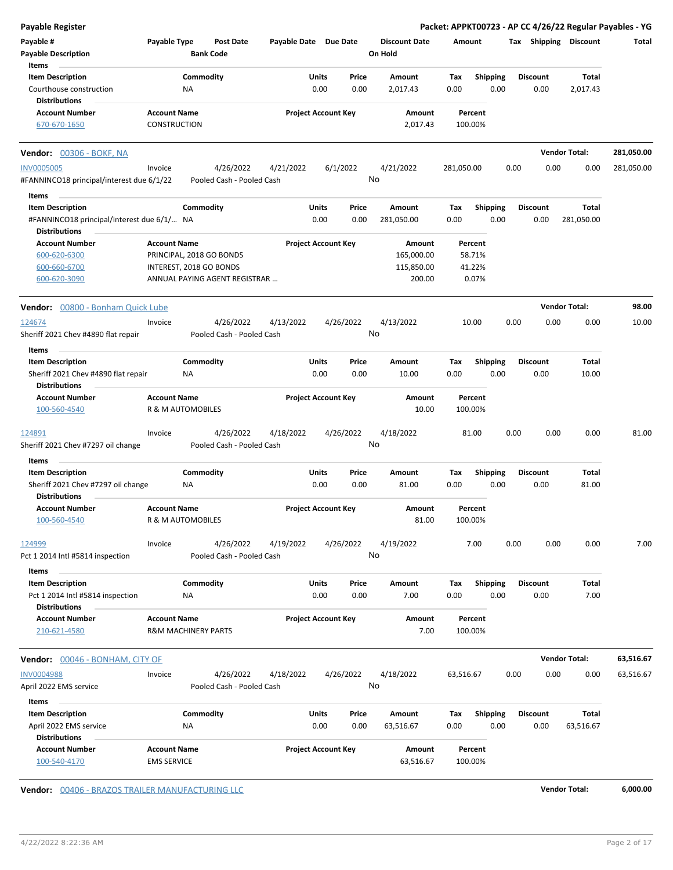| Payable Register                                                           |                                           |                                |                                        |                            |                            |                 |                                 |             |                    |      |      |                         |                       | Packet: APPKT00723 - AP CC 4/26/22 Regular Payables - YG |
|----------------------------------------------------------------------------|-------------------------------------------|--------------------------------|----------------------------------------|----------------------------|----------------------------|-----------------|---------------------------------|-------------|--------------------|------|------|-------------------------|-----------------------|----------------------------------------------------------|
| Payable #<br><b>Payable Description</b>                                    | Payable Type                              | <b>Bank Code</b>               | <b>Post Date</b>                       | Payable Date Due Date      |                            |                 | <b>Discount Date</b><br>On Hold | Amount      |                    |      |      |                         | Tax Shipping Discount | Total                                                    |
| Items                                                                      |                                           |                                |                                        |                            |                            |                 |                                 |             |                    |      |      |                         |                       |                                                          |
| <b>Item Description</b><br>Courthouse construction<br><b>Distributions</b> |                                           | Commodity<br>ΝA                |                                        |                            | Units<br>0.00              | Price<br>0.00   | Amount<br>2,017.43              | Tax<br>0.00 | Shipping           | 0.00 |      | <b>Discount</b><br>0.00 | Total<br>2,017.43     |                                                          |
| <b>Account Number</b>                                                      | <b>Account Name</b>                       |                                |                                        | <b>Project Account Key</b> |                            |                 | Amount                          |             | Percent            |      |      |                         |                       |                                                          |
| 670-670-1650                                                               | <b>CONSTRUCTION</b>                       |                                |                                        |                            |                            |                 | 2,017.43                        |             | 100.00%            |      |      |                         |                       |                                                          |
| <b>Vendor: 00306 - BOKF, NA</b>                                            |                                           |                                |                                        |                            |                            |                 |                                 |             |                    |      |      |                         | <b>Vendor Total:</b>  | 281,050.00                                               |
| <b>INV0005005</b>                                                          | Invoice                                   |                                | 4/26/2022                              | 4/21/2022                  |                            | 6/1/2022        | 4/21/2022                       | 281,050.00  |                    |      | 0.00 | 0.00                    | 0.00                  | 281,050.00                                               |
| #FANNINCO18 principal/interest due 6/1/22                                  |                                           |                                | Pooled Cash - Pooled Cash              |                            |                            | No              |                                 |             |                    |      |      |                         |                       |                                                          |
| Items                                                                      |                                           |                                |                                        |                            |                            |                 |                                 |             |                    |      |      |                         |                       |                                                          |
| <b>Item Description</b>                                                    |                                           | Commodity                      |                                        |                            | Units                      | Price           | Amount                          | Tax         | <b>Shipping</b>    |      |      | <b>Discount</b>         | Total                 |                                                          |
| #FANNINCO18 principal/interest due 6/1/ NA<br><b>Distributions</b>         |                                           |                                |                                        |                            | 0.00                       | 0.00            | 281,050.00                      | 0.00        |                    | 0.00 |      | 0.00                    | 281,050.00            |                                                          |
| <b>Account Number</b>                                                      | <b>Account Name</b>                       |                                |                                        | <b>Project Account Key</b> |                            |                 | Amount                          |             | Percent            |      |      |                         |                       |                                                          |
| 600-620-6300                                                               |                                           | PRINCIPAL, 2018 GO BONDS       |                                        |                            |                            |                 | 165,000.00                      |             | 58.71%             |      |      |                         |                       |                                                          |
| 600-660-6700                                                               |                                           | INTEREST, 2018 GO BONDS        |                                        |                            |                            |                 | 115,850.00                      |             | 41.22%             |      |      |                         |                       |                                                          |
| 600-620-3090                                                               |                                           |                                | ANNUAL PAYING AGENT REGISTRAR          |                            |                            |                 | 200.00                          |             | 0.07%              |      |      |                         |                       |                                                          |
| Vendor: 00800 - Bonham Quick Lube                                          |                                           |                                |                                        |                            |                            |                 |                                 |             |                    |      |      |                         | <b>Vendor Total:</b>  | 98.00                                                    |
| 124674<br>Sheriff 2021 Chev #4890 flat repair                              | Invoice                                   |                                | 4/26/2022<br>Pooled Cash - Pooled Cash | 4/13/2022                  |                            | 4/26/2022       | 4/13/2022<br>No                 |             | 10.00              |      | 0.00 | 0.00                    | 0.00                  | 10.00                                                    |
| Items                                                                      |                                           |                                |                                        |                            |                            |                 |                                 |             |                    |      |      |                         |                       |                                                          |
| <b>Item Description</b>                                                    |                                           | Commodity                      |                                        |                            | Units                      | Price           | Amount                          | Tax         | <b>Shipping</b>    |      |      | <b>Discount</b>         | Total                 |                                                          |
| Sheriff 2021 Chev #4890 flat repair<br><b>Distributions</b>                |                                           | NA                             |                                        |                            | 0.00                       | 0.00            | 10.00                           | 0.00        |                    | 0.00 |      | 0.00                    | 10.00                 |                                                          |
| <b>Account Number</b>                                                      | <b>Account Name</b>                       |                                |                                        | <b>Project Account Key</b> |                            |                 | Amount                          |             | Percent            |      |      |                         |                       |                                                          |
| 100-560-4540                                                               |                                           | R & M AUTOMOBILES              |                                        |                            |                            |                 | 10.00                           |             | 100.00%            |      |      |                         |                       |                                                          |
| 124891<br>Sheriff 2021 Chev #7297 oil change                               | Invoice                                   |                                | 4/26/2022<br>Pooled Cash - Pooled Cash | 4/18/2022                  |                            | 4/26/2022<br>No | 4/18/2022                       |             | 81.00              |      | 0.00 | 0.00                    | 0.00                  | 81.00                                                    |
| Items                                                                      |                                           |                                |                                        |                            |                            |                 |                                 |             |                    |      |      |                         |                       |                                                          |
| <b>Item Description</b>                                                    |                                           | Commodity                      |                                        |                            | Units                      | Price           | Amount                          | Tax         | <b>Shipping</b>    |      |      | <b>Discount</b>         | Total                 |                                                          |
| Sheriff 2021 Chev #7297 oil change                                         |                                           | ΝA                             |                                        |                            | 0.00                       | 0.00            | 81.00                           | 0.00        |                    | 0.00 |      | 0.00                    | 81.00                 |                                                          |
| <b>Distributions</b>                                                       |                                           |                                |                                        |                            |                            |                 |                                 |             |                    |      |      |                         |                       |                                                          |
| <b>Account Number</b><br>100-560-4540                                      | <b>Account Name</b>                       | R & M AUTOMOBILES              |                                        |                            | <b>Project Account Key</b> |                 | Amount<br>81.00                 |             | Percent<br>100.00% |      |      |                         |                       |                                                          |
| 124999<br>Pct 1 2014 Intl #5814 inspection                                 | Invoice                                   |                                | 4/26/2022<br>Pooled Cash - Pooled Cash | 4/19/2022                  |                            | 4/26/2022<br>No | 4/19/2022                       |             | 7.00               |      | 0.00 | 0.00                    | 0.00                  | 7.00                                                     |
|                                                                            |                                           |                                |                                        |                            |                            |                 |                                 |             |                    |      |      |                         |                       |                                                          |
| Items                                                                      |                                           |                                |                                        |                            |                            |                 |                                 |             |                    |      |      |                         |                       |                                                          |
| <b>Item Description</b><br>Pct 1 2014 Intl #5814 inspection                |                                           | Commodity<br><b>NA</b>         |                                        |                            | Units<br>0.00              | Price<br>0.00   | Amount<br>7.00                  | Tax<br>0.00 | <b>Shipping</b>    | 0.00 |      | <b>Discount</b><br>0.00 | Total<br>7.00         |                                                          |
| <b>Distributions</b>                                                       |                                           |                                |                                        |                            |                            |                 |                                 |             |                    |      |      |                         |                       |                                                          |
| <b>Account Number</b>                                                      | <b>Account Name</b>                       |                                |                                        |                            | <b>Project Account Key</b> |                 | Amount                          |             | Percent            |      |      |                         |                       |                                                          |
| 210-621-4580                                                               |                                           | <b>R&amp;M MACHINERY PARTS</b> |                                        |                            |                            |                 | 7.00                            |             | 100.00%            |      |      |                         |                       |                                                          |
|                                                                            |                                           |                                |                                        |                            |                            |                 |                                 |             |                    |      |      |                         |                       |                                                          |
| Vendor: 00046 - BONHAM, CITY OF                                            |                                           |                                |                                        |                            |                            |                 |                                 |             |                    |      |      |                         | <b>Vendor Total:</b>  | 63,516.67                                                |
| <b>INV0004988</b>                                                          | Invoice                                   |                                | 4/26/2022                              | 4/18/2022                  |                            | 4/26/2022       | 4/18/2022                       | 63,516.67   |                    |      | 0.00 | 0.00                    | 0.00                  | 63,516.67                                                |
| April 2022 EMS service                                                     |                                           |                                | Pooled Cash - Pooled Cash              |                            |                            |                 | No                              |             |                    |      |      |                         |                       |                                                          |
| Items                                                                      |                                           |                                |                                        |                            |                            |                 |                                 |             |                    |      |      |                         |                       |                                                          |
| <b>Item Description</b>                                                    |                                           | Commodity                      |                                        |                            | Units                      | Price           | Amount                          | Tax         | <b>Shipping</b>    |      |      | <b>Discount</b>         | Total                 |                                                          |
| April 2022 EMS service                                                     |                                           | ΝA                             |                                        |                            | 0.00                       | 0.00            | 63,516.67                       | 0.00        |                    | 0.00 |      | 0.00                    | 63,516.67             |                                                          |
| <b>Distributions</b>                                                       |                                           |                                |                                        |                            |                            |                 |                                 |             |                    |      |      |                         |                       |                                                          |
| <b>Account Number</b><br>100-540-4170                                      | <b>Account Name</b><br><b>EMS SERVICE</b> |                                |                                        |                            | <b>Project Account Key</b> |                 | Amount<br>63,516.67             |             | Percent<br>100.00% |      |      |                         |                       |                                                          |
|                                                                            |                                           |                                |                                        |                            |                            |                 |                                 |             |                    |      |      |                         |                       |                                                          |

**Vendor:** 00406 - BRAZOS TRAILER MANUFACTURING LLC **Vendor Total: 6,000.00**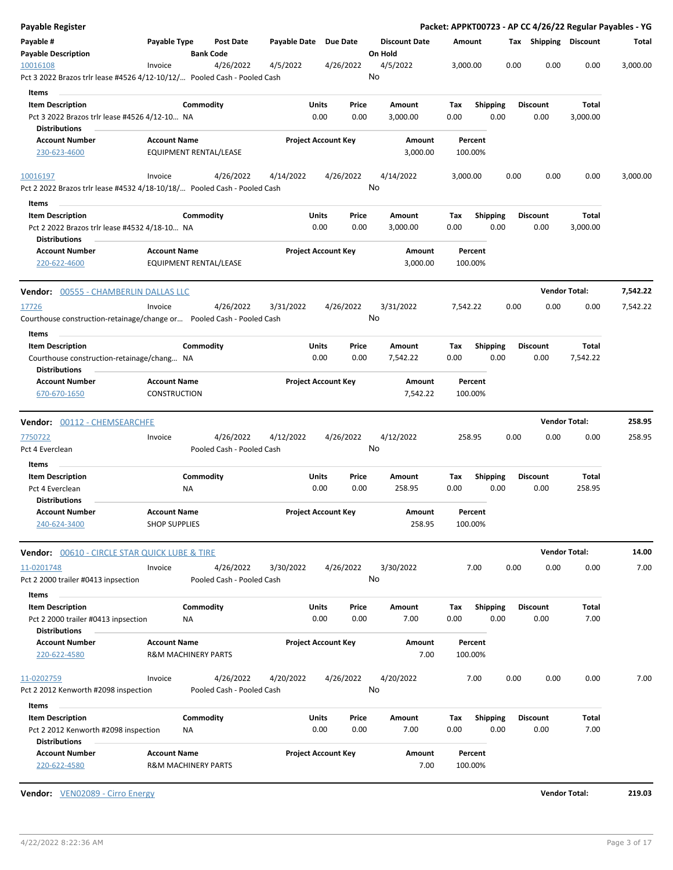| Payable Register                                                                                 |                                             |                                |                                        |                       |                                |      |                                 |             |                    |      |                         |      |                      | Packet: APPKT00723 - AP CC 4/26/22 Regular Payables - YG |
|--------------------------------------------------------------------------------------------------|---------------------------------------------|--------------------------------|----------------------------------------|-----------------------|--------------------------------|------|---------------------------------|-------------|--------------------|------|-------------------------|------|----------------------|----------------------------------------------------------|
| Payable #<br><b>Payable Description</b>                                                          | Payable Type                                | <b>Bank Code</b>               | Post Date                              | Payable Date Due Date |                                |      | <b>Discount Date</b><br>On Hold | Amount      |                    |      | Tax Shipping Discount   |      |                      | Total                                                    |
| 10016108<br>Pct 3 2022 Brazos trlr lease #4526 4/12-10/12/ Pooled Cash - Pooled Cash             | Invoice                                     |                                | 4/26/2022                              | 4/5/2022              | 4/26/2022                      |      | 4/5/2022<br>No                  | 3,000.00    |                    |      | 0.00                    | 0.00 | 0.00                 | 3,000.00                                                 |
| Items                                                                                            |                                             |                                |                                        |                       |                                |      |                                 |             |                    |      |                         |      |                      |                                                          |
| <b>Item Description</b><br>Pct 3 2022 Brazos trlr lease #4526 4/12-10 NA                         |                                             | Commodity                      |                                        |                       | Units<br>Price<br>0.00<br>0.00 |      | Amount<br>3,000.00              | Tax<br>0.00 | Shipping           | 0.00 | <b>Discount</b><br>0.00 |      | Total<br>3,000.00    |                                                          |
| <b>Distributions</b>                                                                             |                                             |                                |                                        |                       |                                |      |                                 |             |                    |      |                         |      |                      |                                                          |
| <b>Account Number</b><br>230-623-4600                                                            | <b>Account Name</b>                         | EQUIPMENT RENTAL/LEASE         |                                        |                       | <b>Project Account Key</b>     |      | Amount<br>3,000.00              |             | Percent<br>100.00% |      |                         |      |                      |                                                          |
| 10016197<br>Pct 2 2022 Brazos trlr lease #4532 4/18-10/18/ Pooled Cash - Pooled Cash             | Invoice                                     |                                | 4/26/2022                              | 4/14/2022             | 4/26/2022                      |      | 4/14/2022<br>No                 | 3,000.00    |                    |      | 0.00                    | 0.00 | 0.00                 | 3,000.00                                                 |
| Items                                                                                            |                                             |                                |                                        |                       |                                |      |                                 |             |                    |      |                         |      |                      |                                                          |
| <b>Item Description</b><br>Pct 2 2022 Brazos trlr lease #4532 4/18-10 NA<br><b>Distributions</b> |                                             | Commodity                      |                                        |                       | Units<br>Price<br>0.00<br>0.00 |      | Amount<br>3,000.00              | Тах<br>0.00 | <b>Shipping</b>    | 0.00 | <b>Discount</b><br>0.00 |      | Total<br>3,000.00    |                                                          |
| <b>Account Number</b><br>220-622-4600                                                            | <b>Account Name</b>                         | EQUIPMENT RENTAL/LEASE         |                                        |                       | <b>Project Account Key</b>     |      | Amount<br>3,000.00              |             | Percent<br>100.00% |      |                         |      |                      |                                                          |
| <b>Vendor:</b> 00555 - CHAMBERLIN DALLAS LLC                                                     |                                             |                                |                                        |                       |                                |      |                                 |             |                    |      |                         |      | <b>Vendor Total:</b> | 7,542.22                                                 |
| 17726<br>Courthouse construction-retainage/change or  Pooled Cash - Pooled Cash                  | Invoice                                     |                                | 4/26/2022                              | 3/31/2022             | 4/26/2022                      |      | 3/31/2022<br>No                 | 7,542.22    |                    |      | 0.00                    | 0.00 | 0.00                 | 7,542.22                                                 |
| <b>Items</b>                                                                                     |                                             |                                |                                        |                       |                                |      |                                 |             |                    |      |                         |      |                      |                                                          |
| <b>Item Description</b><br>Courthouse construction-retainage/chang NA<br><b>Distributions</b>    |                                             | Commodity                      |                                        |                       | Units<br>Price<br>0.00         | 0.00 | Amount<br>7,542.22              | Tax<br>0.00 | <b>Shipping</b>    | 0.00 | <b>Discount</b><br>0.00 |      | Total<br>7,542.22    |                                                          |
| <b>Account Number</b>                                                                            | <b>Account Name</b>                         |                                |                                        |                       | <b>Project Account Key</b>     |      | Amount                          |             | Percent            |      |                         |      |                      |                                                          |
| 670-670-1650                                                                                     | <b>CONSTRUCTION</b>                         |                                |                                        |                       |                                |      | 7,542.22                        |             | 100.00%            |      |                         |      |                      |                                                          |
| <b>Vendor:</b> 00112 - CHEMSEARCHFE                                                              |                                             |                                |                                        |                       |                                |      |                                 |             |                    |      |                         |      | <b>Vendor Total:</b> | 258.95                                                   |
| 7750722                                                                                          | Invoice                                     |                                | 4/26/2022                              | 4/12/2022             | 4/26/2022                      |      | 4/12/2022                       | 258.95      |                    |      | 0.00                    | 0.00 | 0.00                 | 258.95                                                   |
| Pct 4 Everclean                                                                                  |                                             |                                | Pooled Cash - Pooled Cash              |                       |                                |      | No                              |             |                    |      |                         |      |                      |                                                          |
| Items<br><b>Item Description</b>                                                                 |                                             | Commodity                      |                                        |                       | Units<br>Price                 |      | Amount                          | Tax         | <b>Shipping</b>    |      | <b>Discount</b>         |      | Total                |                                                          |
| Pct 4 Everclean                                                                                  |                                             | NA                             |                                        |                       | 0.00<br>0.00                   |      | 258.95                          | 0.00        |                    | 0.00 | 0.00                    |      | 258.95               |                                                          |
| <b>Distributions</b>                                                                             |                                             |                                |                                        |                       |                                |      |                                 |             |                    |      |                         |      |                      |                                                          |
| <b>Account Number</b><br>240-624-3400                                                            | <b>Account Name</b><br><b>SHOP SUPPLIES</b> |                                |                                        |                       | <b>Project Account Key</b>     |      | Amount<br>258.95                |             | Percent<br>100.00% |      |                         |      |                      |                                                          |
| <b>Vendor:</b> 00610 - CIRCLE STAR QUICK LUBE & TIRE                                             |                                             |                                |                                        |                       |                                |      |                                 |             |                    |      |                         |      | <b>Vendor Total:</b> | 14.00                                                    |
| 11-0201748                                                                                       | Invoice                                     |                                | 4/26/2022                              | 3/30/2022             | 4/26/2022                      |      | 3/30/2022                       |             | 7.00               |      | 0.00                    | 0.00 | 0.00                 | 7.00                                                     |
| Pct 2 2000 trailer #0413 inpsection<br>Items                                                     |                                             |                                | Pooled Cash - Pooled Cash              |                       |                                |      | No                              |             |                    |      |                         |      |                      |                                                          |
| <b>Item Description</b>                                                                          |                                             | Commodity                      |                                        |                       | Units<br>Price                 |      | Amount                          | Тах         | <b>Shipping</b>    |      | <b>Discount</b>         |      | Total                |                                                          |
| Pct 2 2000 trailer #0413 inpsection<br><b>Distributions</b>                                      |                                             | ΝA                             |                                        |                       | 0.00<br>0.00                   |      | 7.00                            | 0.00        |                    | 0.00 | 0.00                    |      | 7.00                 |                                                          |
| <b>Account Number</b><br>220-622-4580                                                            | <b>Account Name</b>                         | <b>R&amp;M MACHINERY PARTS</b> |                                        |                       | <b>Project Account Key</b>     |      | Amount<br>7.00                  |             | Percent<br>100.00% |      |                         |      |                      |                                                          |
| 11-0202759<br>Pct 2 2012 Kenworth #2098 inspection                                               | Invoice                                     |                                | 4/26/2022<br>Pooled Cash - Pooled Cash | 4/20/2022             | 4/26/2022                      | No   | 4/20/2022                       |             | 7.00               |      | 0.00                    | 0.00 | 0.00                 | 7.00                                                     |
| Items                                                                                            |                                             |                                |                                        |                       |                                |      |                                 |             |                    |      |                         |      |                      |                                                          |
| <b>Item Description</b>                                                                          |                                             | Commodity                      |                                        |                       | Units<br>Price                 |      | Amount                          | Tax         | <b>Shipping</b>    |      | <b>Discount</b>         |      | Total                |                                                          |
| Pct 2 2012 Kenworth #2098 inspection<br><b>Distributions</b>                                     |                                             | ΝA                             |                                        |                       | 0.00<br>0.00                   |      | 7.00                            | 0.00        |                    | 0.00 | 0.00                    |      | 7.00                 |                                                          |
| <b>Account Number</b><br>220-622-4580                                                            | <b>Account Name</b>                         | <b>R&amp;M MACHINERY PARTS</b> |                                        |                       | <b>Project Account Key</b>     |      | Amount<br>7.00                  | 100.00%     | Percent            |      |                         |      |                      |                                                          |

**Vendor:** VEN02089 - Cirro Energy **Vendor Total: 219.03**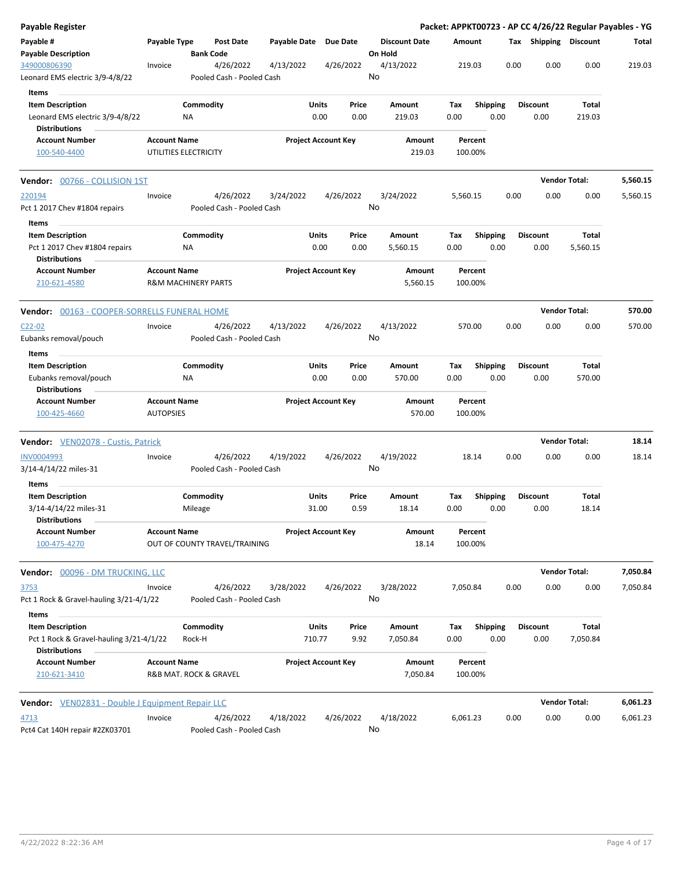| Payable Register                                                |                                                       |           |                                        |                       |        |                            |         |                      |                    |                 |      |                       | Packet: APPKT00723 - AP CC 4/26/22 Regular Payables - YG |          |
|-----------------------------------------------------------------|-------------------------------------------------------|-----------|----------------------------------------|-----------------------|--------|----------------------------|---------|----------------------|--------------------|-----------------|------|-----------------------|----------------------------------------------------------|----------|
| Payable #<br><b>Payable Description</b>                         | Payable Type                                          |           | Post Date<br><b>Bank Code</b>          | Payable Date Due Date |        |                            | On Hold | <b>Discount Date</b> | Amount             |                 |      | Tax Shipping Discount |                                                          | Total    |
| 349000806390<br>Leonard EMS electric 3/9-4/8/22                 | Invoice                                               |           | 4/26/2022<br>Pooled Cash - Pooled Cash | 4/13/2022             |        | 4/26/2022                  | No      | 4/13/2022            | 219.03             |                 | 0.00 | 0.00                  | 0.00                                                     | 219.03   |
| Items                                                           |                                                       |           |                                        |                       |        |                            |         |                      |                    |                 |      |                       |                                                          |          |
| <b>Item Description</b>                                         |                                                       | Commodity |                                        |                       | Units  | Price                      |         | Amount               | Tax                | <b>Shipping</b> |      | <b>Discount</b>       | Total                                                    |          |
| Leonard EMS electric 3/9-4/8/22                                 |                                                       | ΝA        |                                        |                       | 0.00   | 0.00                       |         | 219.03               | 0.00               | 0.00            |      | 0.00                  | 219.03                                                   |          |
| <b>Distributions</b>                                            |                                                       |           |                                        |                       |        |                            |         |                      |                    |                 |      |                       |                                                          |          |
| <b>Account Number</b>                                           | <b>Account Name</b>                                   |           |                                        |                       |        | <b>Project Account Key</b> |         | Amount               | Percent            |                 |      |                       |                                                          |          |
| 100-540-4400                                                    | UTILITIES ELECTRICITY                                 |           |                                        |                       |        |                            |         | 219.03               | 100.00%            |                 |      |                       |                                                          |          |
| <b>Vendor:</b> 00766 - COLLISION 1ST                            |                                                       |           |                                        |                       |        |                            |         |                      |                    |                 |      |                       | <b>Vendor Total:</b>                                     | 5,560.15 |
| 220194                                                          | Invoice                                               |           | 4/26/2022                              | 3/24/2022             |        | 4/26/2022                  |         | 3/24/2022            | 5,560.15           |                 | 0.00 | 0.00                  | 0.00                                                     | 5,560.15 |
| Pct 1 2017 Chev #1804 repairs                                   |                                                       |           | Pooled Cash - Pooled Cash              |                       |        |                            | No      |                      |                    |                 |      |                       |                                                          |          |
| Items                                                           |                                                       |           |                                        |                       |        |                            |         |                      |                    |                 |      |                       |                                                          |          |
| <b>Item Description</b>                                         |                                                       | Commodity |                                        |                       | Units  | Price                      |         | Amount               | Tax                | Shipping        |      | <b>Discount</b>       | Total                                                    |          |
| Pct 1 2017 Chev #1804 repairs                                   |                                                       | ΝA        |                                        |                       | 0.00   | 0.00                       |         | 5,560.15             | 0.00               | 0.00            |      | 0.00                  | 5,560.15                                                 |          |
| <b>Distributions</b>                                            |                                                       |           |                                        |                       |        |                            |         |                      |                    |                 |      |                       |                                                          |          |
| <b>Account Number</b><br>210-621-4580                           | <b>Account Name</b><br><b>R&amp;M MACHINERY PARTS</b> |           |                                        |                       |        | <b>Project Account Key</b> |         | Amount<br>5,560.15   | Percent<br>100.00% |                 |      |                       |                                                          |          |
| Vendor: 00163 - COOPER-SORRELLS FUNERAL HOME                    |                                                       |           |                                        |                       |        |                            |         |                      |                    |                 |      |                       | <b>Vendor Total:</b>                                     | 570.00   |
| $C22-02$                                                        | Invoice                                               |           | 4/26/2022                              | 4/13/2022             |        | 4/26/2022                  |         | 4/13/2022            | 570.00             |                 | 0.00 | 0.00                  | 0.00                                                     | 570.00   |
| Eubanks removal/pouch                                           |                                                       |           | Pooled Cash - Pooled Cash              |                       |        |                            | No      |                      |                    |                 |      |                       |                                                          |          |
| Items                                                           |                                                       |           |                                        |                       |        |                            |         |                      |                    |                 |      |                       |                                                          |          |
| <b>Item Description</b>                                         |                                                       | Commodity |                                        |                       | Units  | Price                      |         | Amount               | Tax                | <b>Shipping</b> |      | <b>Discount</b>       | Total                                                    |          |
| Eubanks removal/pouch<br><b>Distributions</b>                   |                                                       | ΝA        |                                        |                       | 0.00   | 0.00                       |         | 570.00               | 0.00               | 0.00            |      | 0.00                  | 570.00                                                   |          |
| <b>Account Number</b>                                           | <b>Account Name</b>                                   |           |                                        |                       |        | <b>Project Account Key</b> |         | Amount               | Percent            |                 |      |                       |                                                          |          |
| 100-425-4660                                                    | <b>AUTOPSIES</b>                                      |           |                                        |                       |        |                            |         | 570.00               | 100.00%            |                 |      |                       |                                                          |          |
| Vendor: VEN02078 - Custis, Patrick                              |                                                       |           |                                        |                       |        |                            |         |                      |                    |                 |      |                       | <b>Vendor Total:</b>                                     | 18.14    |
| INV0004993                                                      | Invoice                                               |           | 4/26/2022                              | 4/19/2022             |        | 4/26/2022                  |         | 4/19/2022            | 18.14              |                 | 0.00 | 0.00                  | 0.00                                                     | 18.14    |
| 3/14-4/14/22 miles-31                                           |                                                       |           | Pooled Cash - Pooled Cash              |                       |        |                            | No      |                      |                    |                 |      |                       |                                                          |          |
| Items                                                           |                                                       |           |                                        |                       |        |                            |         |                      |                    |                 |      |                       |                                                          |          |
| <b>Item Description</b>                                         |                                                       | Commodity |                                        |                       | Units  | Price                      |         | Amount               | Tax                | <b>Shipping</b> |      | <b>Discount</b>       | Total                                                    |          |
| 3/14-4/14/22 miles-31                                           |                                                       | Mileage   |                                        |                       | 31.00  | 0.59                       |         | 18.14                | 0.00               | 0.00            |      | 0.00                  | 18.14                                                    |          |
| <b>Distributions</b><br><b>Account Number</b>                   | <b>Account Name</b>                                   |           |                                        |                       |        | <b>Project Account Key</b> |         | Amount               | Percent            |                 |      |                       |                                                          |          |
| 100-475-4270                                                    |                                                       |           | OUT OF COUNTY TRAVEL/TRAINING          |                       |        |                            |         | 18.14                | 100.00%            |                 |      |                       |                                                          |          |
| <b>Vendor:</b> 00096 - DM TRUCKING, LLC                         |                                                       |           |                                        |                       |        |                            |         |                      |                    |                 |      |                       | <b>Vendor Total:</b>                                     | 7,050.84 |
| 3753                                                            | Invoice                                               |           | 4/26/2022                              | 3/28/2022             |        | 4/26/2022                  |         | 3/28/2022            | 7,050.84           |                 | 0.00 | 0.00                  | 0.00                                                     | 7,050.84 |
| Pct 1 Rock & Gravel-hauling 3/21-4/1/22                         |                                                       |           | Pooled Cash - Pooled Cash              |                       |        |                            | No      |                      |                    |                 |      |                       |                                                          |          |
| Items<br><b>Item Description</b>                                |                                                       | Commodity |                                        |                       | Units  | Price                      |         | Amount               | Tax                | <b>Shipping</b> |      | <b>Discount</b>       | Total                                                    |          |
| Pct 1 Rock & Gravel-hauling 3/21-4/1/22<br><b>Distributions</b> |                                                       | Rock-H    |                                        |                       | 710.77 | 9.92                       |         | 7,050.84             | 0.00               | 0.00            |      | 0.00                  | 7,050.84                                                 |          |
| <b>Account Number</b>                                           | <b>Account Name</b>                                   |           |                                        |                       |        | <b>Project Account Key</b> |         | Amount               | Percent            |                 |      |                       |                                                          |          |
| 210-621-3410                                                    | R&B MAT. ROCK & GRAVEL                                |           |                                        |                       |        |                            |         | 7,050.84             | 100.00%            |                 |      |                       |                                                          |          |
| Vendor: VEN02831 - Double J Equipment Repair LLC                |                                                       |           |                                        |                       |        |                            |         |                      |                    |                 |      |                       | <b>Vendor Total:</b>                                     | 6,061.23 |
| 4713                                                            | Invoice                                               |           | 4/26/2022                              | 4/18/2022             |        | 4/26/2022                  |         | 4/18/2022            | 6,061.23           |                 | 0.00 | 0.00                  | 0.00                                                     | 6,061.23 |
| Pct4 Cat 140H repair #2ZK03701                                  |                                                       |           | Pooled Cash - Pooled Cash              |                       |        |                            | No      |                      |                    |                 |      |                       |                                                          |          |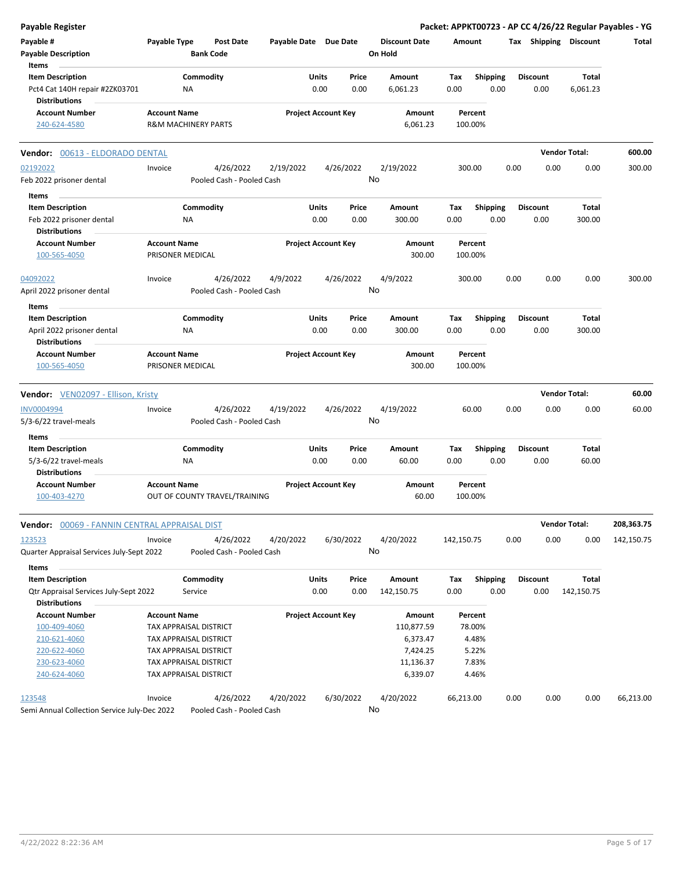| Payable #<br><b>Payable Description</b>                                                                                           | Payable Type        | <b>Post Date</b>                               |           |                                             |               |                                            |                                 |                         |      |                         |                      |            |
|-----------------------------------------------------------------------------------------------------------------------------------|---------------------|------------------------------------------------|-----------|---------------------------------------------|---------------|--------------------------------------------|---------------------------------|-------------------------|------|-------------------------|----------------------|------------|
| Items                                                                                                                             |                     | <b>Bank Code</b>                               |           | Payable Date Due Date                       |               | <b>Discount Date</b><br>On Hold            | Amount                          |                         |      | Tax Shipping            | Discount             | Total      |
| <b>Item Description</b><br>Pct4 Cat 140H repair #2ZK03701<br><b>Distributions</b>                                                 |                     | Commodity<br><b>NA</b>                         |           | Units<br>0.00                               | Price<br>0.00 | Amount<br>6,061.23                         | Tax<br>0.00                     | <b>Shipping</b><br>0.00 |      | <b>Discount</b><br>0.00 | Total<br>6,061.23    |            |
| <b>Account Number</b><br>240-624-4580                                                                                             | <b>Account Name</b> | <b>R&amp;M MACHINERY PARTS</b>                 |           | <b>Project Account Key</b>                  |               | Amount<br>6,061.23                         | Percent<br>100.00%              |                         |      |                         |                      |            |
| Vendor: 00613 - ELDORADO DENTAL                                                                                                   |                     |                                                |           |                                             |               |                                            |                                 |                         |      |                         | <b>Vendor Total:</b> | 600.00     |
| 02192022                                                                                                                          | Invoice             | 4/26/2022                                      | 2/19/2022 |                                             | 4/26/2022     | 2/19/2022                                  | 300.00                          |                         | 0.00 | 0.00                    | 0.00                 | 300.00     |
| Feb 2022 prisoner dental                                                                                                          |                     | Pooled Cash - Pooled Cash                      |           |                                             |               | No                                         |                                 |                         |      |                         |                      |            |
| Items                                                                                                                             |                     |                                                |           |                                             |               |                                            |                                 |                         |      |                         |                      |            |
| <b>Item Description</b><br>Feb 2022 prisoner dental<br><b>Distributions</b>                                                       |                     | Commodity<br><b>NA</b>                         |           | Units<br>0.00                               | Price<br>0.00 | Amount<br>300.00                           | Tax<br>0.00                     | <b>Shipping</b><br>0.00 |      | <b>Discount</b><br>0.00 | Total<br>300.00      |            |
| <b>Account Number</b><br>100-565-4050                                                                                             | <b>Account Name</b> | PRISONER MEDICAL                               |           | <b>Project Account Key</b>                  |               | Amount<br>300.00                           | Percent<br>100.00%              |                         |      |                         |                      |            |
| 04092022<br>April 2022 prisoner dental                                                                                            | Invoice             | 4/26/2022<br>Pooled Cash - Pooled Cash         | 4/9/2022  |                                             | 4/26/2022     | 4/9/2022<br>No                             | 300.00                          |                         | 0.00 | 0.00                    | 0.00                 | 300.00     |
| Items                                                                                                                             |                     |                                                |           |                                             |               |                                            |                                 |                         |      |                         |                      |            |
| <b>Item Description</b><br>April 2022 prisoner dental<br><b>Distributions</b>                                                     |                     | Commodity<br>ΝA                                |           | Units<br>0.00                               | Price<br>0.00 | Amount<br>300.00                           | Tax<br>0.00                     | <b>Shipping</b><br>0.00 |      | <b>Discount</b><br>0.00 | Total<br>300.00      |            |
| <b>Account Number</b><br>100-565-4050                                                                                             | <b>Account Name</b> | PRISONER MEDICAL                               |           | <b>Project Account Key</b>                  |               | Amount<br>300.00                           | Percent<br>100.00%              |                         |      |                         |                      |            |
| <b>Vendor:</b> VEN02097 - Ellison, Kristy                                                                                         |                     |                                                |           |                                             |               |                                            |                                 |                         |      |                         | <b>Vendor Total:</b> | 60.00      |
| <b>INV0004994</b>                                                                                                                 | Invoice             | 4/26/2022                                      | 4/19/2022 |                                             | 4/26/2022     | 4/19/2022                                  | 60.00                           |                         | 0.00 | 0.00                    | 0.00                 | 60.00      |
| $5/3 - 6/22$ travel-meals                                                                                                         |                     | Pooled Cash - Pooled Cash                      |           |                                             |               | No                                         |                                 |                         |      |                         |                      |            |
| Items                                                                                                                             |                     |                                                |           |                                             |               |                                            |                                 |                         |      |                         |                      |            |
| <b>Item Description</b>                                                                                                           |                     | Commodity                                      |           | Units                                       | Price         | Amount                                     | Tax                             | Shipping                |      | <b>Discount</b>         | Total                |            |
| 5/3-6/22 travel-meals<br><b>Distributions</b>                                                                                     |                     | <b>NA</b>                                      |           | 0.00                                        | 0.00          | 60.00                                      | 0.00                            | 0.00                    |      | 0.00                    | 60.00                |            |
| <b>Account Number</b><br>100-403-4270                                                                                             | <b>Account Name</b> | OUT OF COUNTY TRAVEL/TRAINING                  |           | <b>Project Account Key</b>                  |               | Amount<br>60.00                            | Percent<br>100.00%              |                         |      |                         |                      |            |
| Vendor:<br>00069 - FANNIN CENTRAL APPRAISAL DIST                                                                                  |                     |                                                |           |                                             |               |                                            |                                 |                         |      |                         | <b>Vendor Total:</b> | 208,363.75 |
| 123523                                                                                                                            | Invoice             | 4/26/2022                                      | 4/20/2022 |                                             | 6/30/2022     | 4/20/2022                                  | 142,150.75                      |                         | 0.00 | 0.00                    | 0.00                 | 142,150.75 |
| Quarter Appraisal Services July-Sept 2022                                                                                         |                     | Pooled Cash - Pooled Cash                      |           |                                             |               | No                                         |                                 |                         |      |                         |                      |            |
| Items                                                                                                                             |                     |                                                |           |                                             |               |                                            |                                 |                         |      |                         |                      |            |
|                                                                                                                                   |                     |                                                |           |                                             |               |                                            |                                 |                         |      |                         |                      |            |
|                                                                                                                                   |                     |                                                |           |                                             |               |                                            |                                 |                         |      |                         |                      |            |
|                                                                                                                                   |                     |                                                |           |                                             |               |                                            |                                 |                         |      |                         |                      |            |
| 100-409-4060                                                                                                                      |                     | TAX APPRAISAL DISTRICT                         |           |                                             |               | 110,877.59                                 | 78.00%                          |                         |      |                         |                      |            |
| 210-621-4060                                                                                                                      |                     | TAX APPRAISAL DISTRICT                         |           |                                             |               | 6,373.47                                   | 4.48%                           |                         |      |                         |                      |            |
| 220-622-4060                                                                                                                      |                     | TAX APPRAISAL DISTRICT                         |           |                                             |               | 7,424.25                                   | 5.22%                           |                         |      |                         |                      |            |
| 230-623-4060                                                                                                                      |                     | TAX APPRAISAL DISTRICT                         |           |                                             |               | 11,136.37                                  | 7.83%                           |                         |      |                         |                      |            |
|                                                                                                                                   |                     |                                                |           |                                             |               |                                            |                                 |                         |      |                         |                      |            |
|                                                                                                                                   |                     |                                                |           |                                             |               |                                            |                                 |                         |      |                         |                      |            |
| <b>Item Description</b><br>Qtr Appraisal Services July-Sept 2022<br><b>Distributions</b><br><b>Account Number</b><br>240-624-4060 | <b>Account Name</b> | Commodity<br>Service<br>TAX APPRAISAL DISTRICT |           | Units<br>0.00<br><b>Project Account Key</b> | Price<br>0.00 | Amount<br>142,150.75<br>Amount<br>6,339.07 | Tax<br>0.00<br>Percent<br>4.46% | <b>Shipping</b><br>0.00 |      | <b>Discount</b><br>0.00 | Total<br>142,150.75  |            |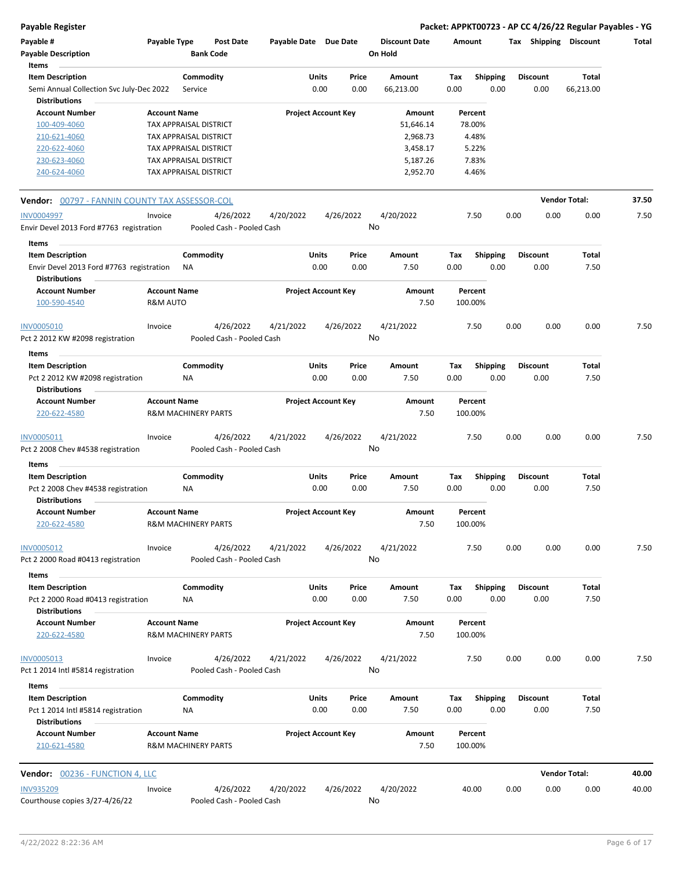**Payable Register Packet: APPKT00723 - AP CC 4/26/22 Regular Payables - YG**

| Payable #                                                                             | Payable Type                                          |                 | Post Date                              | Payable Date Due Date |                            |                 | <b>Discount Date</b> | Amount      |                    |      | Tax Shipping            | Discount             | Total |
|---------------------------------------------------------------------------------------|-------------------------------------------------------|-----------------|----------------------------------------|-----------------------|----------------------------|-----------------|----------------------|-------------|--------------------|------|-------------------------|----------------------|-------|
| <b>Payable Description</b><br>Items                                                   |                                                       |                 | <b>Bank Code</b>                       |                       |                            |                 | On Hold              |             |                    |      |                         |                      |       |
| <b>Item Description</b>                                                               |                                                       | Commodity       |                                        |                       | Units                      | Price           | Amount               | Tax         | <b>Shipping</b>    |      | <b>Discount</b>         | Total                |       |
| Semi Annual Collection Svc July-Dec 2022<br><b>Distributions</b>                      |                                                       | Service         |                                        |                       | 0.00                       | 0.00            | 66,213.00            | 0.00        |                    | 0.00 | 0.00                    | 66,213.00            |       |
| <b>Account Number</b>                                                                 | <b>Account Name</b>                                   |                 |                                        |                       | <b>Project Account Key</b> |                 | Amount               |             | Percent            |      |                         |                      |       |
| 100-409-4060                                                                          | TAX APPRAISAL DISTRICT                                |                 |                                        |                       |                            |                 | 51,646.14            |             | 78.00%             |      |                         |                      |       |
| 210-621-4060                                                                          | TAX APPRAISAL DISTRICT                                |                 |                                        |                       |                            |                 | 2,968.73             |             | 4.48%              |      |                         |                      |       |
| 220-622-4060                                                                          | TAX APPRAISAL DISTRICT                                |                 |                                        |                       |                            |                 | 3,458.17             |             | 5.22%              |      |                         |                      |       |
| 230-623-4060                                                                          | TAX APPRAISAL DISTRICT                                |                 |                                        |                       |                            |                 | 5,187.26             |             | 7.83%              |      |                         |                      |       |
| 240-624-4060                                                                          | TAX APPRAISAL DISTRICT                                |                 |                                        |                       |                            |                 | 2,952.70             |             | 4.46%              |      |                         |                      |       |
| <b>Vendor:</b> 00797 - FANNIN COUNTY TAX ASSESSOR-COL                                 |                                                       |                 |                                        |                       |                            |                 |                      |             |                    |      |                         | <b>Vendor Total:</b> | 37.50 |
| <b>INV0004997</b>                                                                     | Invoice                                               |                 | 4/26/2022                              | 4/20/2022             |                            | 4/26/2022       | 4/20/2022            |             | 7.50               | 0.00 | 0.00                    | 0.00                 | 7.50  |
| Envir Devel 2013 Ford #7763 registration                                              |                                                       |                 | Pooled Cash - Pooled Cash              |                       |                            | No              |                      |             |                    |      |                         |                      |       |
| Items<br><b>Item Description</b>                                                      |                                                       | Commodity       |                                        |                       | Units                      | Price           | Amount               | Tax         | <b>Shipping</b>    |      | <b>Discount</b>         | Total                |       |
| Envir Devel 2013 Ford #7763 registration<br><b>Distributions</b>                      |                                                       | ΝA              |                                        |                       | 0.00                       | 0.00            | 7.50                 | 0.00        |                    | 0.00 | 0.00                    | 7.50                 |       |
| <b>Account Number</b><br>100-590-4540                                                 | <b>Account Name</b><br>R&M AUTO                       |                 |                                        |                       | <b>Project Account Key</b> |                 | Amount<br>7.50       |             | Percent<br>100.00% |      |                         |                      |       |
| <b>INV0005010</b><br>Pct 2 2012 KW #2098 registration                                 | Invoice                                               |                 | 4/26/2022<br>Pooled Cash - Pooled Cash | 4/21/2022             |                            | 4/26/2022<br>No | 4/21/2022            |             | 7.50               | 0.00 | 0.00                    | 0.00                 | 7.50  |
| Items                                                                                 |                                                       |                 |                                        |                       |                            |                 |                      |             |                    |      |                         |                      |       |
| <b>Item Description</b>                                                               |                                                       | Commodity       |                                        |                       | Units                      | Price           | Amount               | Tax         | <b>Shipping</b>    |      | <b>Discount</b>         | Total                |       |
| Pct 2 2012 KW #2098 registration<br><b>Distributions</b>                              |                                                       | ΝA              |                                        |                       | 0.00                       | 0.00            | 7.50                 | 0.00        |                    | 0.00 | 0.00                    | 7.50                 |       |
| <b>Account Number</b>                                                                 | <b>Account Name</b>                                   |                 |                                        |                       | <b>Project Account Key</b> |                 | Amount               |             | Percent            |      |                         |                      |       |
| 220-622-4580                                                                          | <b>R&amp;M MACHINERY PARTS</b>                        |                 |                                        |                       |                            |                 | 7.50                 |             | 100.00%            |      |                         |                      |       |
| INV0005011<br>Pct 2 2008 Chev #4538 registration                                      | Invoice                                               |                 | 4/26/2022<br>Pooled Cash - Pooled Cash | 4/21/2022             |                            | 4/26/2022<br>No | 4/21/2022            |             | 7.50               | 0.00 | 0.00                    | 0.00                 | 7.50  |
| Items                                                                                 |                                                       |                 |                                        |                       |                            |                 |                      |             |                    |      |                         |                      |       |
| <b>Item Description</b><br>Pct 2 2008 Chev #4538 registration                         |                                                       | Commodity<br>ΝA |                                        |                       | Units<br>0.00              | Price<br>0.00   | Amount<br>7.50       | Tax<br>0.00 | <b>Shipping</b>    | 0.00 | <b>Discount</b><br>0.00 | Total<br>7.50        |       |
| <b>Distributions</b><br><b>Account Number</b><br>220-622-4580                         | <b>Account Name</b><br><b>R&amp;M MACHINERY PARTS</b> |                 |                                        |                       | <b>Project Account Key</b> |                 | Amount<br>7.50       |             | Percent<br>100.00% |      |                         |                      |       |
| <b>INV0005012</b>                                                                     | Invoice                                               |                 | 4/26/2022                              | 4/21/2022             |                            | 4/26/2022       | 4/21/2022            |             | 7.50               | 0.00 | 0.00                    | 0.00                 | 7.50  |
| Pct 2 2000 Road #0413 registration<br>Items                                           |                                                       |                 | Pooled Cash - Pooled Cash              |                       |                            | No              |                      |             |                    |      |                         |                      |       |
| <b>Item Description</b><br>Pct 2 2000 Road #0413 registration                         |                                                       | Commodity<br>ΝA |                                        |                       | <b>Units</b><br>0.00       | Price<br>0.00   | Amount<br>7.50       | Tax<br>0.00 | <b>Shipping</b>    | 0.00 | <b>Discount</b><br>0.00 | Total<br>7.50        |       |
| <b>Distributions</b><br><b>Account Number</b>                                         | <b>Account Name</b>                                   |                 |                                        |                       | <b>Project Account Key</b> |                 | Amount               |             | Percent            |      |                         |                      |       |
| 220-622-4580                                                                          | <b>R&amp;M MACHINERY PARTS</b>                        |                 |                                        |                       |                            |                 | 7.50                 |             | 100.00%            |      |                         |                      |       |
| INV0005013<br>Pct 1 2014 Intl #5814 registration                                      | Invoice                                               |                 | 4/26/2022<br>Pooled Cash - Pooled Cash | 4/21/2022             |                            | 4/26/2022<br>No | 4/21/2022            |             | 7.50               | 0.00 | 0.00                    | 0.00                 | 7.50  |
| Items                                                                                 |                                                       |                 |                                        |                       |                            |                 |                      |             |                    |      |                         |                      |       |
| <b>Item Description</b><br>Pct 1 2014 Intl #5814 registration<br><b>Distributions</b> |                                                       | Commodity<br>ΝA |                                        |                       | <b>Units</b><br>0.00       | Price<br>0.00   | Amount<br>7.50       | Tax<br>0.00 | Shipping           | 0.00 | <b>Discount</b><br>0.00 | Total<br>7.50        |       |
| <b>Account Number</b><br>210-621-4580                                                 | <b>Account Name</b><br><b>R&amp;M MACHINERY PARTS</b> |                 |                                        |                       | <b>Project Account Key</b> |                 | Amount<br>7.50       |             | Percent<br>100.00% |      |                         |                      |       |
| <b>Vendor:</b> 00236 - FUNCTION 4, LLC                                                |                                                       |                 |                                        |                       |                            |                 |                      |             |                    |      |                         | <b>Vendor Total:</b> | 40.00 |
|                                                                                       |                                                       |                 |                                        |                       |                            |                 |                      |             |                    |      |                         |                      |       |
| <b>INV935209</b><br>Courthouse copies 3/27-4/26/22                                    | Invoice                                               |                 | 4/26/2022<br>Pooled Cash - Pooled Cash | 4/20/2022             |                            | 4/26/2022<br>No | 4/20/2022            |             | 40.00              | 0.00 | 0.00                    | 0.00                 | 40.00 |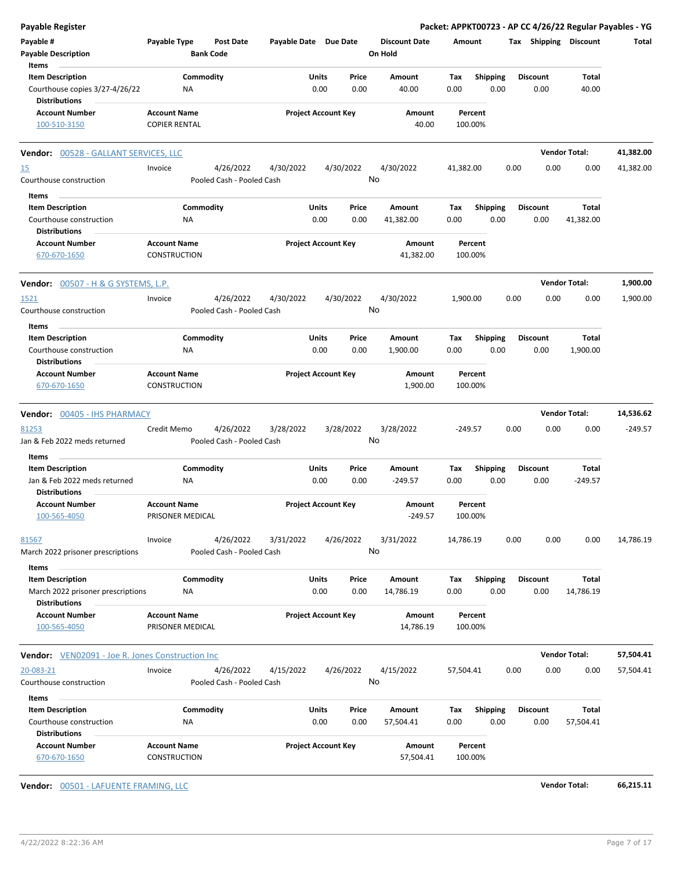| Payable Register                                          |                      |                                      |                       |                            |                                 |           |                         |      |                 |                       | Packet: APPKT00723 - AP CC 4/26/22 Regular Payables - YG |
|-----------------------------------------------------------|----------------------|--------------------------------------|-----------------------|----------------------------|---------------------------------|-----------|-------------------------|------|-----------------|-----------------------|----------------------------------------------------------|
| Payable #<br><b>Payable Description</b>                   | Payable Type         | <b>Post Date</b><br><b>Bank Code</b> | Payable Date Due Date |                            | <b>Discount Date</b><br>On Hold | Amount    |                         |      |                 | Tax Shipping Discount | Total                                                    |
| Items                                                     |                      |                                      |                       |                            |                                 |           |                         |      |                 |                       |                                                          |
| <b>Item Description</b>                                   |                      | Commodity                            |                       | Units<br>Price             | Amount                          | Tax       | Shipping                |      | <b>Discount</b> | Total                 |                                                          |
| Courthouse copies 3/27-4/26/22<br><b>Distributions</b>    | ΝA                   |                                      |                       | 0.00<br>0.00               | 40.00                           | 0.00      | 0.00                    |      | 0.00            | 40.00                 |                                                          |
| <b>Account Number</b>                                     | <b>Account Name</b>  |                                      |                       | <b>Project Account Key</b> | Amount                          | Percent   |                         |      |                 |                       |                                                          |
| 100-510-3150                                              | <b>COPIER RENTAL</b> |                                      |                       |                            | 40.00                           | 100.00%   |                         |      |                 |                       |                                                          |
| Vendor: 00528 - GALLANT SERVICES, LLC                     |                      |                                      |                       |                            |                                 |           |                         |      |                 | <b>Vendor Total:</b>  | 41,382.00                                                |
| <u>15</u>                                                 | Invoice              | 4/26/2022                            | 4/30/2022             | 4/30/2022                  | 4/30/2022                       | 41,382.00 |                         | 0.00 | 0.00            | 0.00                  | 41,382.00                                                |
| Courthouse construction                                   |                      | Pooled Cash - Pooled Cash            |                       |                            | No                              |           |                         |      |                 |                       |                                                          |
| Items                                                     |                      |                                      |                       |                            |                                 |           |                         |      |                 |                       |                                                          |
| <b>Item Description</b>                                   |                      | Commodity                            |                       | Units<br>Price             | Amount                          | Tax       | <b>Shipping</b>         |      | <b>Discount</b> | Total                 |                                                          |
| Courthouse construction                                   | NA                   |                                      |                       | 0.00<br>0.00               | 41,382.00                       | 0.00      | 0.00                    |      | 0.00            | 41,382.00             |                                                          |
| <b>Distributions</b><br><b>Account Number</b>             | <b>Account Name</b>  |                                      |                       | <b>Project Account Key</b> | Amount                          | Percent   |                         |      |                 |                       |                                                          |
| 670-670-1650                                              | <b>CONSTRUCTION</b>  |                                      |                       |                            | 41,382.00                       | 100.00%   |                         |      |                 |                       |                                                          |
| <b>Vendor:</b> 00507 - H & G SYSTEMS, L.P.                |                      |                                      |                       |                            |                                 |           |                         |      |                 | <b>Vendor Total:</b>  | 1,900.00                                                 |
| 1521                                                      | Invoice              | 4/26/2022                            | 4/30/2022             | 4/30/2022                  | 4/30/2022                       | 1,900.00  |                         | 0.00 | 0.00            | 0.00                  | 1,900.00                                                 |
| Courthouse construction                                   |                      | Pooled Cash - Pooled Cash            |                       |                            | No                              |           |                         |      |                 |                       |                                                          |
| Items                                                     |                      |                                      |                       |                            |                                 |           |                         |      |                 |                       |                                                          |
| <b>Item Description</b>                                   |                      | Commodity                            |                       | Units<br>Price             | Amount                          | Tax       | <b>Shipping</b>         |      | <b>Discount</b> | Total                 |                                                          |
| Courthouse construction<br><b>Distributions</b>           | ΝA                   |                                      |                       | 0.00<br>0.00               | 1,900.00                        | 0.00      | 0.00                    |      | 0.00            | 1,900.00              |                                                          |
| <b>Account Number</b>                                     | <b>Account Name</b>  |                                      |                       | <b>Project Account Key</b> | Amount                          | Percent   |                         |      |                 |                       |                                                          |
| 670-670-1650                                              | <b>CONSTRUCTION</b>  |                                      |                       |                            | 1,900.00                        | 100.00%   |                         |      |                 |                       |                                                          |
| Vendor: 00405 - IHS PHARMACY                              |                      |                                      |                       |                            |                                 |           |                         |      |                 | <b>Vendor Total:</b>  | 14,536.62                                                |
| 81253                                                     | Credit Memo          | 4/26/2022                            | 3/28/2022             | 3/28/2022                  | 3/28/2022                       | $-249.57$ |                         | 0.00 | 0.00            | 0.00                  | $-249.57$                                                |
| Jan & Feb 2022 meds returned                              |                      | Pooled Cash - Pooled Cash            |                       |                            | No                              |           |                         |      |                 |                       |                                                          |
| Items<br><b>Item Description</b>                          |                      | Commodity                            |                       | Units<br>Price             | Amount                          | Tax       |                         |      | <b>Discount</b> | Total                 |                                                          |
| Jan & Feb 2022 meds returned                              | ΝA                   |                                      |                       | 0.00<br>0.00               | $-249.57$                       | 0.00      | <b>Shipping</b><br>0.00 |      | 0.00            | $-249.57$             |                                                          |
| <b>Distributions</b>                                      |                      |                                      |                       |                            |                                 |           |                         |      |                 |                       |                                                          |
| <b>Account Number</b>                                     | <b>Account Name</b>  |                                      |                       | <b>Project Account Key</b> | Amount                          | Percent   |                         |      |                 |                       |                                                          |
| 100-565-4050                                              | PRISONER MEDICAL     |                                      |                       |                            | $-249.57$                       | 100.00%   |                         |      |                 |                       |                                                          |
| 81567                                                     | Invoice              | 4/26/2022                            | 3/31/2022             | 4/26/2022                  | 3/31/2022                       | 14,786.19 |                         | 0.00 | 0.00            | 0.00                  | 14,786.19                                                |
| March 2022 prisoner prescriptions                         |                      | Pooled Cash - Pooled Cash            |                       |                            | No                              |           |                         |      |                 |                       |                                                          |
| Items                                                     |                      |                                      |                       |                            |                                 |           |                         |      |                 |                       |                                                          |
| <b>Item Description</b>                                   |                      | Commodity                            |                       | Units<br>Price             | Amount                          | Тах       | <b>Shipping</b>         |      | <b>Discount</b> | Total                 |                                                          |
| March 2022 prisoner prescriptions<br><b>Distributions</b> | ΝA                   |                                      |                       | 0.00<br>0.00               | 14,786.19                       | 0.00      | 0.00                    |      | 0.00            | 14,786.19             |                                                          |
| <b>Account Number</b>                                     | <b>Account Name</b>  |                                      |                       | <b>Project Account Key</b> | Amount                          | Percent   |                         |      |                 |                       |                                                          |
| 100-565-4050                                              | PRISONER MEDICAL     |                                      |                       |                            | 14,786.19                       | 100.00%   |                         |      |                 |                       |                                                          |
| <b>Vendor:</b> VEN02091 - Joe R. Jones Construction Inc   |                      |                                      |                       |                            |                                 |           |                         |      |                 | <b>Vendor Total:</b>  | 57,504.41                                                |
| 20-083-21                                                 | Invoice              | 4/26/2022                            | 4/15/2022             | 4/26/2022                  | 4/15/2022                       | 57,504.41 |                         | 0.00 | 0.00            | 0.00                  | 57,504.41                                                |
| Courthouse construction                                   |                      | Pooled Cash - Pooled Cash            |                       |                            | No                              |           |                         |      |                 |                       |                                                          |
| Items                                                     |                      |                                      |                       |                            |                                 |           |                         |      |                 |                       |                                                          |
| <b>Item Description</b>                                   |                      | Commodity                            |                       | Units<br>Price             | Amount                          | Тах       | <b>Shipping</b>         |      | <b>Discount</b> | Total                 |                                                          |
| Courthouse construction                                   | ΝA                   |                                      |                       | 0.00<br>0.00               | 57,504.41                       | 0.00      | 0.00                    |      | 0.00            | 57,504.41             |                                                          |
| <b>Distributions</b><br><b>Account Number</b>             | <b>Account Name</b>  |                                      |                       | <b>Project Account Key</b> | Amount                          | Percent   |                         |      |                 |                       |                                                          |
| 670-670-1650                                              | CONSTRUCTION         |                                      |                       |                            | 57,504.41                       | 100.00%   |                         |      |                 |                       |                                                          |

**Vendor:** 00501 - LAFUENTE FRAMING, LLC **Vendor Total: 66,215.11**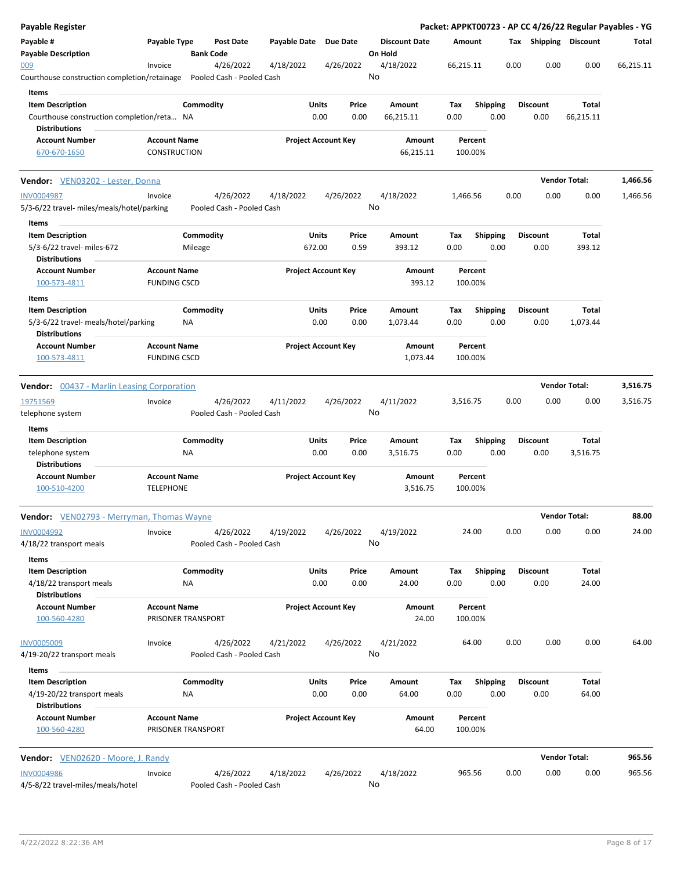| <b>Payable Register</b>                                         |                                            |                           |                  |                       |                            |           |         |                      |           |                    |                 |      |                 |                       | Packet: APPKT00723 - AP CC 4/26/22 Regular Payables - YG |
|-----------------------------------------------------------------|--------------------------------------------|---------------------------|------------------|-----------------------|----------------------------|-----------|---------|----------------------|-----------|--------------------|-----------------|------|-----------------|-----------------------|----------------------------------------------------------|
| Payable #<br><b>Payable Description</b>                         | Payable Type                               | <b>Bank Code</b>          | <b>Post Date</b> | Payable Date Due Date |                            |           | On Hold | <b>Discount Date</b> | Amount    |                    |                 |      |                 | Tax Shipping Discount | Total                                                    |
| 009<br>Courthouse construction completion/retainage             | Invoice                                    | Pooled Cash - Pooled Cash | 4/26/2022        | 4/18/2022             |                            | 4/26/2022 | No      | 4/18/2022            | 66,215.11 |                    |                 | 0.00 | 0.00            | 0.00                  | 66,215.11                                                |
| Items                                                           |                                            |                           |                  |                       |                            |           |         |                      |           |                    |                 |      |                 |                       |                                                          |
| <b>Item Description</b>                                         |                                            | Commodity                 |                  |                       | Units                      | Price     |         | Amount               | Tax       |                    | <b>Shipping</b> |      | <b>Discount</b> | Total                 |                                                          |
| Courthouse construction completion/reta NA                      |                                            |                           |                  |                       | 0.00                       | 0.00      |         | 66,215.11            | 0.00      |                    | 0.00            |      | 0.00            | 66,215.11             |                                                          |
| <b>Distributions</b>                                            |                                            |                           |                  |                       |                            |           |         |                      |           |                    |                 |      |                 |                       |                                                          |
| <b>Account Number</b><br>670-670-1650                           | <b>Account Name</b><br>CONSTRUCTION        |                           |                  |                       | <b>Project Account Key</b> |           |         | Amount<br>66,215.11  |           | Percent<br>100.00% |                 |      |                 |                       |                                                          |
|                                                                 |                                            |                           |                  |                       |                            |           |         |                      |           |                    |                 |      |                 |                       |                                                          |
| Vendor: VEN03202 - Lester, Donna                                |                                            |                           |                  |                       |                            |           |         |                      |           |                    |                 |      |                 | <b>Vendor Total:</b>  | 1,466.56                                                 |
| <b>INV0004987</b><br>5/3-6/22 travel- miles/meals/hotel/parking | Invoice                                    | Pooled Cash - Pooled Cash | 4/26/2022        | 4/18/2022             |                            | 4/26/2022 | No      | 4/18/2022            | 1,466.56  |                    |                 | 0.00 | 0.00            | 0.00                  | 1,466.56                                                 |
| Items                                                           |                                            |                           |                  |                       |                            |           |         |                      |           |                    |                 |      |                 |                       |                                                          |
| <b>Item Description</b>                                         |                                            | Commodity                 |                  |                       | Units                      | Price     |         | <b>Amount</b>        | Tax       |                    | Shipping        |      | <b>Discount</b> | Total                 |                                                          |
| 5/3-6/22 travel- miles-672                                      |                                            | Mileage                   |                  |                       | 672.00                     | 0.59      |         | 393.12               | 0.00      |                    | 0.00            |      | 0.00            | 393.12                |                                                          |
| <b>Distributions</b>                                            |                                            |                           |                  |                       |                            |           |         |                      |           |                    |                 |      |                 |                       |                                                          |
| <b>Account Number</b>                                           | <b>Account Name</b>                        |                           |                  |                       | <b>Project Account Key</b> |           |         | <b>Amount</b>        |           | Percent            |                 |      |                 |                       |                                                          |
| 100-573-4811                                                    | <b>FUNDING CSCD</b>                        |                           |                  |                       |                            |           |         | 393.12               |           | 100.00%            |                 |      |                 |                       |                                                          |
| Items                                                           |                                            |                           |                  |                       |                            |           |         |                      |           |                    |                 |      |                 |                       |                                                          |
| <b>Item Description</b>                                         |                                            | Commodity                 |                  |                       | Units                      | Price     |         | Amount               | Tax       |                    | <b>Shipping</b> |      | <b>Discount</b> | Total                 |                                                          |
| 5/3-6/22 travel- meals/hotel/parking                            |                                            | <b>NA</b>                 |                  |                       | 0.00                       | 0.00      |         | 1,073.44             | 0.00      |                    | 0.00            |      | 0.00            | 1,073.44              |                                                          |
| <b>Distributions</b>                                            |                                            |                           |                  |                       |                            |           |         |                      |           |                    |                 |      |                 |                       |                                                          |
| <b>Account Number</b><br>100-573-4811                           | <b>Account Name</b><br><b>FUNDING CSCD</b> |                           |                  |                       | <b>Project Account Key</b> |           |         | Amount<br>1,073.44   |           | Percent<br>100.00% |                 |      |                 |                       |                                                          |
|                                                                 |                                            |                           |                  |                       |                            |           |         |                      |           |                    |                 |      |                 |                       |                                                          |
| <b>Vendor:</b> 00437 - Marlin Leasing Corporation               |                                            |                           |                  |                       |                            |           |         |                      |           |                    |                 |      |                 | <b>Vendor Total:</b>  | 3,516.75                                                 |
| 19751569                                                        | Invoice                                    |                           | 4/26/2022        | 4/11/2022             |                            | 4/26/2022 |         | 4/11/2022            | 3,516.75  |                    |                 | 0.00 | 0.00            | 0.00                  | 3,516.75                                                 |
| telephone system                                                |                                            | Pooled Cash - Pooled Cash |                  |                       |                            |           | No      |                      |           |                    |                 |      |                 |                       |                                                          |
| Items                                                           |                                            |                           |                  |                       |                            |           |         |                      |           |                    |                 |      |                 |                       |                                                          |
| <b>Item Description</b>                                         |                                            | Commodity                 |                  |                       | Units                      | Price     |         | Amount               | Tax       |                    | <b>Shipping</b> |      | <b>Discount</b> | Total                 |                                                          |
| telephone system                                                |                                            | ΝA                        |                  |                       | 0.00                       | 0.00      |         | 3,516.75             | 0.00      |                    | 0.00            |      | 0.00            | 3,516.75              |                                                          |
| <b>Distributions</b>                                            |                                            |                           |                  |                       |                            |           |         |                      |           |                    |                 |      |                 |                       |                                                          |
| <b>Account Number</b><br>100-510-4200                           | <b>Account Name</b><br><b>TELEPHONE</b>    |                           |                  |                       | <b>Project Account Key</b> |           |         | Amount<br>3,516.75   |           | Percent<br>100.00% |                 |      |                 |                       |                                                          |
| Vendor: VEN02793 - Merryman, Thomas Wayne                       |                                            |                           |                  |                       |                            |           |         |                      |           |                    |                 |      |                 | Vendor Total:         | 88.00                                                    |
| INV0004992                                                      | Invoice                                    |                           | 4/26/2022        | 4/19/2022             |                            | 4/26/2022 |         | 4/19/2022            |           | 24.00              |                 | 0.00 | 0.00            | 0.00                  | 24.00                                                    |
| 4/18/22 transport meals                                         |                                            | Pooled Cash - Pooled Cash |                  |                       |                            |           | No      |                      |           |                    |                 |      |                 |                       |                                                          |
| Items                                                           |                                            |                           |                  |                       |                            |           |         |                      |           |                    |                 |      |                 |                       |                                                          |
| <b>Item Description</b>                                         |                                            | Commodity                 |                  |                       | Units                      | Price     |         | Amount               | Tax       |                    | <b>Shipping</b> |      | <b>Discount</b> | Total                 |                                                          |
| 4/18/22 transport meals<br><b>Distributions</b>                 |                                            | ΝA                        |                  |                       | 0.00                       | 0.00      |         | 24.00                | 0.00      |                    | 0.00            |      | 0.00            | 24.00                 |                                                          |
| <b>Account Number</b>                                           | <b>Account Name</b>                        |                           |                  |                       | <b>Project Account Key</b> |           |         | Amount               |           | Percent            |                 |      |                 |                       |                                                          |
| 100-560-4280                                                    |                                            | PRISONER TRANSPORT        |                  |                       |                            |           |         | 24.00                |           | 100.00%            |                 |      |                 |                       |                                                          |
| <b>INV0005009</b>                                               | Invoice                                    |                           | 4/26/2022        | 4/21/2022             |                            | 4/26/2022 |         | 4/21/2022            |           | 64.00              |                 | 0.00 | 0.00            | 0.00                  | 64.00                                                    |
| 4/19-20/22 transport meals                                      |                                            | Pooled Cash - Pooled Cash |                  |                       |                            |           | No      |                      |           |                    |                 |      |                 |                       |                                                          |
| Items                                                           |                                            |                           |                  |                       |                            |           |         |                      |           |                    |                 |      |                 |                       |                                                          |
| <b>Item Description</b>                                         |                                            | Commodity                 |                  |                       | Units                      | Price     |         | Amount               | Tax       |                    | <b>Shipping</b> |      | <b>Discount</b> | Total                 |                                                          |
| 4/19-20/22 transport meals<br><b>Distributions</b>              |                                            | ΝA                        |                  |                       | 0.00                       | 0.00      |         | 64.00                | 0.00      |                    | 0.00            |      | 0.00            | 64.00                 |                                                          |
| <b>Account Number</b>                                           | <b>Account Name</b>                        |                           |                  |                       | <b>Project Account Key</b> |           |         | Amount               |           | Percent            |                 |      |                 |                       |                                                          |
| 100-560-4280                                                    |                                            | PRISONER TRANSPORT        |                  |                       |                            |           |         | 64.00                |           | 100.00%            |                 |      |                 |                       |                                                          |
|                                                                 |                                            |                           |                  |                       |                            |           |         |                      |           |                    |                 |      |                 |                       |                                                          |
| Vendor: VEN02620 - Moore, J. Randy                              |                                            |                           |                  |                       |                            |           |         |                      |           |                    |                 |      |                 | <b>Vendor Total:</b>  | 965.56                                                   |
| <b>INV0004986</b><br>4/5-8/22 travel-miles/meals/hotel          | Invoice                                    | Pooled Cash - Pooled Cash | 4/26/2022        | 4/18/2022             |                            | 4/26/2022 | No      | 4/18/2022            |           | 965.56             |                 | 0.00 | 0.00            | 0.00                  | 965.56                                                   |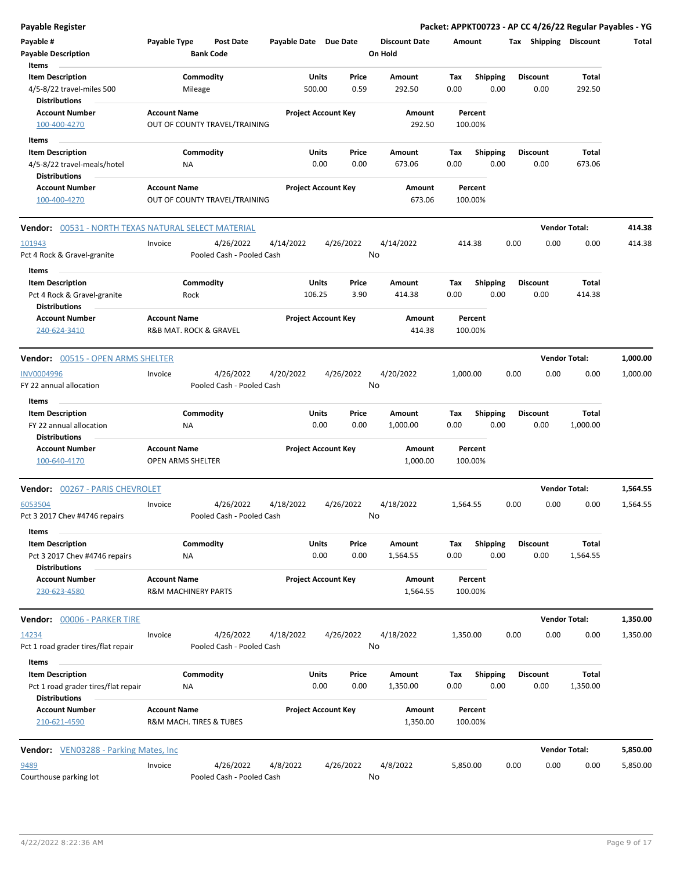| <b>Payable Register</b>                                                        |                     |                                        |                       |                            |                 |                                 |             |                         |      |                         | Packet: APPKT00723 - AP CC 4/26/22 Regular Payables - YG |          |
|--------------------------------------------------------------------------------|---------------------|----------------------------------------|-----------------------|----------------------------|-----------------|---------------------------------|-------------|-------------------------|------|-------------------------|----------------------------------------------------------|----------|
| Payable #<br><b>Payable Description</b>                                        | Payable Type        | <b>Post Date</b><br><b>Bank Code</b>   | Payable Date Due Date |                            |                 | <b>Discount Date</b><br>On Hold | Amount      |                         |      | Tax Shipping Discount   |                                                          | Total    |
| Items                                                                          |                     |                                        |                       |                            |                 |                                 |             |                         |      |                         |                                                          |          |
| <b>Item Description</b><br>4/5-8/22 travel-miles 500                           |                     | Commodity<br>Mileage                   |                       | Units<br>500.00            | Price<br>0.59   | Amount<br>292.50                | Tax<br>0.00 | Shipping<br>0.00        |      | <b>Discount</b><br>0.00 | Total<br>292.50                                          |          |
| <b>Distributions</b><br><b>Account Number</b><br>100-400-4270                  | <b>Account Name</b> | OUT OF COUNTY TRAVEL/TRAINING          |                       | <b>Project Account Key</b> |                 | Amount<br>292.50                | 100.00%     | Percent                 |      |                         |                                                          |          |
| Items                                                                          |                     |                                        |                       |                            |                 |                                 |             |                         |      |                         |                                                          |          |
| <b>Item Description</b>                                                        |                     | Commodity                              |                       | Units                      | Price           | Amount                          | Tax         | <b>Shipping</b>         |      | <b>Discount</b>         | Total                                                    |          |
| 4/5-8/22 travel-meals/hotel                                                    |                     | ΝA                                     |                       | 0.00                       | 0.00            | 673.06                          | 0.00        | 0.00                    |      | 0.00                    | 673.06                                                   |          |
| <b>Distributions</b>                                                           |                     |                                        |                       |                            |                 |                                 |             |                         |      |                         |                                                          |          |
| <b>Account Number</b><br>100-400-4270                                          | <b>Account Name</b> | OUT OF COUNTY TRAVEL/TRAINING          |                       | <b>Project Account Key</b> |                 | Amount<br>673.06                | 100.00%     | Percent                 |      |                         |                                                          |          |
| Vendor: 00531 - NORTH TEXAS NATURAL SELECT MATERIAL                            |                     |                                        |                       |                            |                 |                                 |             |                         |      |                         | <b>Vendor Total:</b>                                     | 414.38   |
| 101943<br>Pct 4 Rock & Gravel-granite                                          | Invoice             | 4/26/2022<br>Pooled Cash - Pooled Cash | 4/14/2022             |                            | 4/26/2022<br>No | 4/14/2022                       | 414.38      |                         | 0.00 | 0.00                    | 0.00                                                     | 414.38   |
| Items                                                                          |                     | Commodity                              |                       | Units                      | Price           |                                 |             |                         |      | <b>Discount</b>         | Total                                                    |          |
| <b>Item Description</b><br>Pct 4 Rock & Gravel-granite<br><b>Distributions</b> |                     | Rock                                   |                       | 106.25                     | 3.90            | Amount<br>414.38                | Tax<br>0.00 | <b>Shipping</b><br>0.00 |      | 0.00                    | 414.38                                                   |          |
| <b>Account Number</b>                                                          | <b>Account Name</b> |                                        |                       | <b>Project Account Key</b> |                 | Amount                          |             | Percent                 |      |                         |                                                          |          |
| 240-624-3410                                                                   |                     | R&B MAT. ROCK & GRAVEL                 |                       |                            |                 | 414.38                          | 100.00%     |                         |      |                         |                                                          |          |
| Vendor: 00515 - OPEN ARMS SHELTER                                              |                     |                                        |                       |                            |                 |                                 |             |                         |      |                         | <b>Vendor Total:</b>                                     | 1,000.00 |
| <b>INV0004996</b>                                                              | Invoice             | 4/26/2022                              | 4/20/2022             |                            | 4/26/2022       | 4/20/2022                       | 1,000.00    |                         | 0.00 | 0.00                    | 0.00                                                     | 1,000.00 |
| FY 22 annual allocation<br>Items                                               |                     | Pooled Cash - Pooled Cash              |                       |                            | No              |                                 |             |                         |      |                         |                                                          |          |
| <b>Item Description</b>                                                        |                     | Commodity                              |                       | Units                      | Price           | Amount                          | Tax         | Shipping                |      | <b>Discount</b>         | Total                                                    |          |
| FY 22 annual allocation<br><b>Distributions</b>                                |                     | ΝA                                     |                       | 0.00                       | 0.00            | 1,000.00                        | 0.00        | 0.00                    |      | 0.00                    | 1,000.00                                                 |          |
| <b>Account Number</b><br>100-640-4170                                          | <b>Account Name</b> | <b>OPEN ARMS SHELTER</b>               |                       | <b>Project Account Key</b> |                 | Amount<br>1,000.00              | 100.00%     | Percent                 |      |                         |                                                          |          |
| Vendor: 00267 - PARIS CHEVROLET                                                |                     |                                        |                       |                            |                 |                                 |             |                         |      |                         | <b>Vendor Total:</b>                                     | 1,564.55 |
| 6053504                                                                        | Invoice             | 4/26/2022                              | 4/18/2022             |                            | 4/26/2022       | 4/18/2022                       | 1,564.55    |                         | 0.00 | 0.00                    | 0.00                                                     | 1,564.55 |
| Pct 3 2017 Chev #4746 repairs<br>Items                                         |                     | Pooled Cash - Pooled Cash              |                       |                            | <b>No</b>       |                                 |             |                         |      |                         |                                                          |          |
| <b>Item Description</b>                                                        |                     | Commodity                              |                       | Units                      | Price           | Amount                          | Tax         | <b>Shipping</b>         |      | Discount                | Total                                                    |          |
| Pct 3 2017 Chev #4746 repairs<br><b>Distributions</b>                          |                     | ΝA                                     |                       | 0.00                       | 0.00            | 1,564.55                        | 0.00        | 0.00                    |      | 0.00                    | 1,564.55                                                 |          |
| <b>Account Number</b><br>230-623-4580                                          | <b>Account Name</b> | <b>R&amp;M MACHINERY PARTS</b>         |                       | <b>Project Account Key</b> |                 | Amount<br>1,564.55              | 100.00%     | Percent                 |      |                         |                                                          |          |
| Vendor: 00006 - PARKER TIRE                                                    |                     |                                        |                       |                            |                 |                                 |             |                         |      |                         | <b>Vendor Total:</b>                                     | 1,350.00 |
| 14234<br>Pct 1 road grader tires/flat repair                                   | Invoice             | 4/26/2022<br>Pooled Cash - Pooled Cash | 4/18/2022             |                            | 4/26/2022<br>No | 4/18/2022                       | 1,350.00    |                         | 0.00 | 0.00                    | 0.00                                                     | 1,350.00 |
| Items                                                                          |                     |                                        |                       |                            |                 |                                 |             |                         |      |                         |                                                          |          |
| <b>Item Description</b><br>Pct 1 road grader tires/flat repair                 |                     | Commodity<br>NA                        |                       | Units<br>0.00              | Price<br>0.00   | Amount<br>1,350.00              | Tax<br>0.00 | <b>Shipping</b><br>0.00 |      | Discount<br>0.00        | Total<br>1,350.00                                        |          |
| <b>Distributions</b><br><b>Account Number</b><br>210-621-4590                  | <b>Account Name</b> | R&M MACH. TIRES & TUBES                |                       | <b>Project Account Key</b> |                 | Amount<br>1,350.00              | 100.00%     | Percent                 |      |                         |                                                          |          |
| <b>Vendor:</b> VEN03288 - Parking Mates, Inc.                                  |                     |                                        |                       |                            |                 |                                 |             |                         |      |                         | <b>Vendor Total:</b>                                     | 5,850.00 |
| 9489                                                                           | Invoice             | 4/26/2022                              | 4/8/2022              |                            | 4/26/2022       | 4/8/2022                        | 5,850.00    |                         | 0.00 | 0.00                    | 0.00                                                     | 5,850.00 |
| Courthouse parking lot                                                         |                     | Pooled Cash - Pooled Cash              |                       |                            | No              |                                 |             |                         |      |                         |                                                          |          |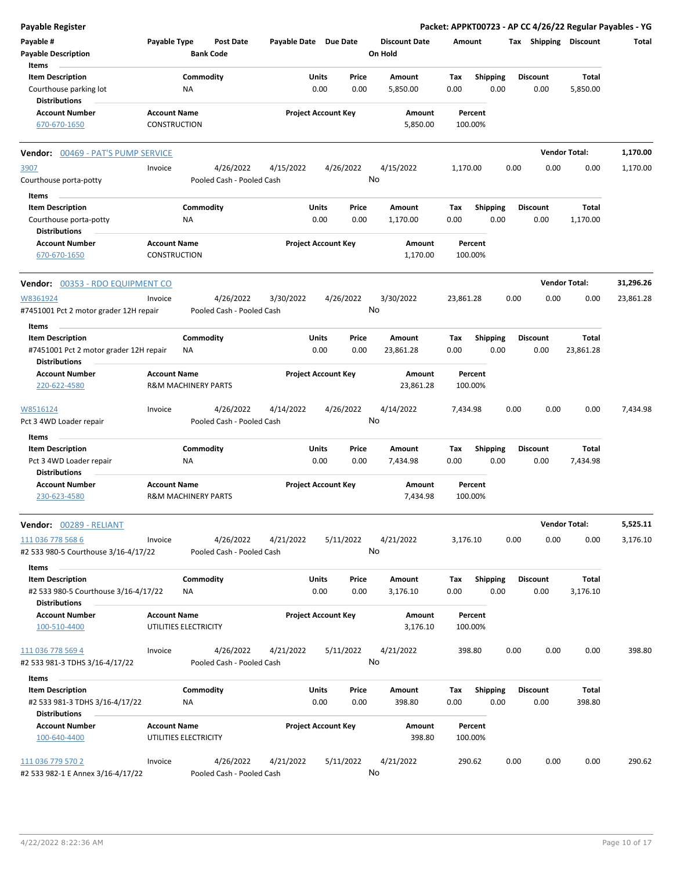| <b>Payable Register</b>                |                                            |                  |                           |                            |       |           |                      |           |                    |      |                 |                       | Packet: APPKT00723 - AP CC 4/26/22 Regular Payables - YG |
|----------------------------------------|--------------------------------------------|------------------|---------------------------|----------------------------|-------|-----------|----------------------|-----------|--------------------|------|-----------------|-----------------------|----------------------------------------------------------|
| Payable #                              | Payable Type                               |                  | <b>Post Date</b>          | Payable Date Due Date      |       |           | <b>Discount Date</b> | Amount    |                    |      |                 | Tax Shipping Discount | Total                                                    |
| <b>Payable Description</b>             |                                            | <b>Bank Code</b> |                           |                            |       |           | On Hold              |           |                    |      |                 |                       |                                                          |
| Items                                  |                                            |                  |                           |                            |       |           |                      |           |                    |      |                 |                       |                                                          |
| <b>Item Description</b>                |                                            | Commodity        |                           |                            | Units | Price     | Amount               | Tax       | <b>Shipping</b>    |      | <b>Discount</b> | Total                 |                                                          |
| Courthouse parking lot                 |                                            | NA               |                           |                            | 0.00  | 0.00      | 5,850.00             | 0.00      | 0.00               |      | 0.00            | 5,850.00              |                                                          |
| <b>Distributions</b>                   |                                            |                  |                           |                            |       |           |                      |           |                    |      |                 |                       |                                                          |
| <b>Account Number</b>                  | <b>Account Name</b>                        |                  |                           | <b>Project Account Key</b> |       |           | Amount               |           | Percent            |      |                 |                       |                                                          |
| 670-670-1650                           | CONSTRUCTION                               |                  |                           |                            |       |           | 5,850.00             |           | 100.00%            |      |                 |                       |                                                          |
| Vendor: 00469 - PAT'S PUMP SERVICE     |                                            |                  |                           |                            |       |           |                      |           |                    |      |                 | <b>Vendor Total:</b>  | 1,170.00                                                 |
| 3907                                   | Invoice                                    |                  | 4/26/2022                 | 4/15/2022                  |       | 4/26/2022 | 4/15/2022            | 1,170.00  |                    | 0.00 | 0.00            | 0.00                  | 1,170.00                                                 |
| Courthouse porta-potty                 |                                            |                  | Pooled Cash - Pooled Cash |                            |       |           | No                   |           |                    |      |                 |                       |                                                          |
| Items                                  |                                            |                  |                           |                            |       |           |                      |           |                    |      |                 |                       |                                                          |
| <b>Item Description</b>                |                                            | Commodity        |                           |                            | Units | Price     | Amount               | Tax       | <b>Shipping</b>    |      | <b>Discount</b> | Total                 |                                                          |
| Courthouse porta-potty                 |                                            | NA               |                           |                            | 0.00  | 0.00      | 1,170.00             | 0.00      | 0.00               |      | 0.00            | 1,170.00              |                                                          |
| <b>Distributions</b>                   |                                            |                  |                           |                            |       |           |                      |           |                    |      |                 |                       |                                                          |
| <b>Account Number</b><br>670-670-1650  | <b>Account Name</b><br><b>CONSTRUCTION</b> |                  |                           | <b>Project Account Key</b> |       |           | Amount<br>1,170.00   |           | Percent<br>100.00% |      |                 |                       |                                                          |
|                                        |                                            |                  |                           |                            |       |           |                      |           |                    |      |                 |                       |                                                          |
| Vendor: 00353 - RDO EQUIPMENT CO       |                                            |                  |                           |                            |       |           |                      |           |                    |      |                 | <b>Vendor Total:</b>  | 31,296.26                                                |
| W8361924                               | Invoice                                    |                  | 4/26/2022                 | 3/30/2022                  |       | 4/26/2022 | 3/30/2022            | 23,861.28 |                    | 0.00 | 0.00            | 0.00                  | 23,861.28                                                |
| #7451001 Pct 2 motor grader 12H repair |                                            |                  | Pooled Cash - Pooled Cash |                            |       |           | No                   |           |                    |      |                 |                       |                                                          |
| Items                                  |                                            |                  |                           |                            |       |           |                      |           |                    |      |                 |                       |                                                          |
| <b>Item Description</b>                |                                            | Commodity        |                           |                            | Units | Price     | Amount               | Tax       | <b>Shipping</b>    |      | <b>Discount</b> | Total                 |                                                          |
| #7451001 Pct 2 motor grader 12H repair |                                            | ΝA               |                           |                            | 0.00  | 0.00      | 23,861.28            | 0.00      | 0.00               |      | 0.00            | 23,861.28             |                                                          |
| <b>Distributions</b>                   |                                            |                  |                           |                            |       |           |                      |           |                    |      |                 |                       |                                                          |
| <b>Account Number</b>                  | <b>Account Name</b>                        |                  |                           | <b>Project Account Key</b> |       |           | Amount               |           | Percent            |      |                 |                       |                                                          |
| 220-622-4580                           | <b>R&amp;M MACHINERY PARTS</b>             |                  |                           |                            |       |           | 23,861.28            |           | 100.00%            |      |                 |                       |                                                          |
| W8516124                               | Invoice                                    |                  | 4/26/2022                 | 4/14/2022                  |       | 4/26/2022 | 4/14/2022            | 7,434.98  |                    | 0.00 | 0.00            | 0.00                  | 7,434.98                                                 |
| Pct 3 4WD Loader repair                |                                            |                  | Pooled Cash - Pooled Cash |                            |       |           | No                   |           |                    |      |                 |                       |                                                          |
| Items                                  |                                            |                  |                           |                            |       |           |                      |           |                    |      |                 |                       |                                                          |
| <b>Item Description</b>                |                                            | Commodity        |                           |                            | Units | Price     | Amount               | Tax       | <b>Shipping</b>    |      | <b>Discount</b> | Total                 |                                                          |
| Pct 3 4WD Loader repair                |                                            | NA               |                           |                            | 0.00  | 0.00      | 7,434.98             | 0.00      | 0.00               |      | 0.00            | 7,434.98              |                                                          |
| <b>Distributions</b>                   |                                            |                  |                           |                            |       |           |                      |           |                    |      |                 |                       |                                                          |
| <b>Account Number</b>                  | <b>Account Name</b>                        |                  |                           | <b>Project Account Key</b> |       |           | Amount               |           | Percent            |      |                 |                       |                                                          |
| 230-623-4580                           | <b>R&amp;M MACHINERY PARTS</b>             |                  |                           |                            |       |           | 7,434.98             |           | 100.00%            |      |                 |                       |                                                          |
| Vendor: 00289 - RELIANT                |                                            |                  |                           |                            |       |           |                      |           |                    |      |                 | <b>Vendor Total:</b>  | 5,525.11                                                 |
| 111 036 778 568 6                      | Invoice                                    |                  | 4/26/2022                 | 4/21/2022                  |       | 5/11/2022 | 4/21/2022            | 3,176.10  |                    | 0.00 | 0.00            | 0.00                  | 3,176.10                                                 |
| #2 533 980-5 Courthouse 3/16-4/17/22   |                                            |                  | Pooled Cash - Pooled Cash |                            |       |           | No                   |           |                    |      |                 |                       |                                                          |
| Items                                  |                                            |                  |                           |                            |       |           |                      |           |                    |      |                 |                       |                                                          |
| <b>Item Description</b>                |                                            | Commodity        |                           |                            | Units | Price     | Amount               | Tax       | <b>Shipping</b>    |      | <b>Discount</b> | Total                 |                                                          |
| #2 533 980-5 Courthouse 3/16-4/17/22   |                                            | ΝA               |                           |                            | 0.00  | 0.00      | 3,176.10             | 0.00      | 0.00               |      | 0.00            | 3,176.10              |                                                          |
| <b>Distributions</b>                   |                                            |                  |                           |                            |       |           |                      |           |                    |      |                 |                       |                                                          |
| <b>Account Number</b>                  | <b>Account Name</b>                        |                  |                           | <b>Project Account Key</b> |       |           | Amount               |           | Percent            |      |                 |                       |                                                          |
| 100-510-4400                           | UTILITIES ELECTRICITY                      |                  |                           |                            |       |           | 3,176.10             |           | 100.00%            |      |                 |                       |                                                          |
| 111 036 778 569 4                      | Invoice                                    |                  | 4/26/2022                 | 4/21/2022                  |       | 5/11/2022 | 4/21/2022            |           | 398.80             | 0.00 | 0.00            | 0.00                  | 398.80                                                   |
| #2 533 981-3 TDHS 3/16-4/17/22         |                                            |                  | Pooled Cash - Pooled Cash |                            |       |           | No                   |           |                    |      |                 |                       |                                                          |
| Items                                  |                                            |                  |                           |                            |       |           |                      |           |                    |      |                 |                       |                                                          |
| <b>Item Description</b>                |                                            | Commodity        |                           |                            | Units | Price     | Amount               | Tax       | <b>Shipping</b>    |      | <b>Discount</b> | Total                 |                                                          |
| #2 533 981-3 TDHS 3/16-4/17/22         |                                            | NA               |                           |                            | 0.00  | 0.00      | 398.80               | 0.00      | 0.00               |      | 0.00            | 398.80                |                                                          |
| <b>Distributions</b>                   |                                            |                  |                           |                            |       |           |                      |           |                    |      |                 |                       |                                                          |
| <b>Account Number</b>                  | <b>Account Name</b>                        |                  |                           | <b>Project Account Key</b> |       |           | Amount               |           | Percent            |      |                 |                       |                                                          |
| 100-640-4400                           | UTILITIES ELECTRICITY                      |                  |                           |                            |       |           | 398.80               |           | 100.00%            |      |                 |                       |                                                          |
| 111 036 779 570 2                      | Invoice                                    |                  | 4/26/2022                 | 4/21/2022                  |       | 5/11/2022 | 4/21/2022            |           | 290.62             | 0.00 | 0.00            | 0.00                  | 290.62                                                   |
| #2 533 982-1 E Annex 3/16-4/17/22      |                                            |                  | Pooled Cash - Pooled Cash |                            |       |           | No                   |           |                    |      |                 |                       |                                                          |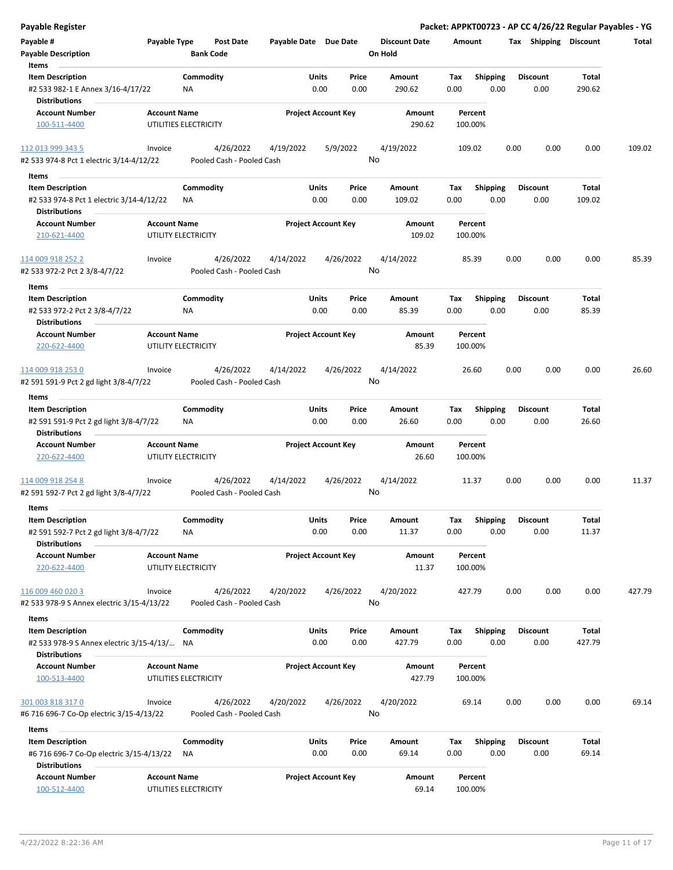| <b>Payable Register</b>                                                          |                     |                                        |                       |                                |                      |                    |                         | Packet: APPKT00723 - AP CC 4/26/22 Regular Payables - YG |                |        |
|----------------------------------------------------------------------------------|---------------------|----------------------------------------|-----------------------|--------------------------------|----------------------|--------------------|-------------------------|----------------------------------------------------------|----------------|--------|
| Payable #                                                                        | Payable Type        | Post Date                              | Payable Date Due Date |                                | <b>Discount Date</b> | Amount             |                         | Tax Shipping Discount                                    |                | Total  |
| <b>Payable Description</b>                                                       |                     | <b>Bank Code</b>                       |                       |                                | On Hold              |                    |                         |                                                          |                |        |
| Items                                                                            |                     |                                        |                       |                                |                      |                    |                         |                                                          |                |        |
| <b>Item Description</b>                                                          |                     | Commodity                              |                       | Units<br>Price                 | Amount               | Tax                | <b>Shipping</b>         | <b>Discount</b>                                          | Total          |        |
| #2 533 982-1 E Annex 3/16-4/17/22                                                |                     | <b>NA</b>                              |                       | 0.00<br>0.00                   | 290.62               | 0.00               | 0.00                    | 0.00                                                     | 290.62         |        |
| <b>Distributions</b>                                                             |                     |                                        |                       |                                |                      |                    |                         |                                                          |                |        |
| <b>Account Number</b>                                                            | <b>Account Name</b> |                                        |                       | <b>Project Account Key</b>     | Amount               | Percent            |                         |                                                          |                |        |
| 100-511-4400                                                                     |                     | UTILITIES ELECTRICITY                  |                       |                                | 290.62               | 100.00%            |                         |                                                          |                |        |
| 112 013 999 343 5                                                                | Invoice             | 4/26/2022                              | 4/19/2022             | 5/9/2022                       | 4/19/2022            | 109.02             |                         | 0.00<br>0.00                                             | 0.00           | 109.02 |
| #2 533 974-8 Pct 1 electric 3/14-4/12/22                                         |                     | Pooled Cash - Pooled Cash              |                       |                                | No                   |                    |                         |                                                          |                |        |
| Items                                                                            |                     |                                        |                       |                                |                      |                    |                         |                                                          |                |        |
| <b>Item Description</b>                                                          |                     | Commodity                              |                       | Units<br>Price                 | Amount               | Tax                | <b>Shipping</b>         | <b>Discount</b>                                          | Total          |        |
| #2 533 974-8 Pct 1 electric 3/14-4/12/22                                         |                     | ΝA                                     |                       | 0.00<br>0.00                   | 109.02               | 0.00               | 0.00                    | 0.00                                                     | 109.02         |        |
| <b>Distributions</b>                                                             |                     |                                        |                       |                                |                      |                    |                         |                                                          |                |        |
| <b>Account Number</b><br>210-621-4400                                            | <b>Account Name</b> | UTILITY ELECTRICITY                    |                       | <b>Project Account Key</b>     | Amount<br>109.02     | Percent<br>100.00% |                         |                                                          |                |        |
| 114 009 918 252 2<br>#2 533 972-2 Pct 2 3/8-4/7/22                               | Invoice             | 4/26/2022<br>Pooled Cash - Pooled Cash | 4/14/2022             | 4/26/2022                      | 4/14/2022<br>No      | 85.39              |                         | 0.00<br>0.00                                             | 0.00           | 85.39  |
| Items                                                                            |                     |                                        |                       |                                |                      |                    |                         |                                                          |                |        |
| <b>Item Description</b><br>#2 533 972-2 Pct 2 3/8-4/7/22<br><b>Distributions</b> |                     | Commodity<br>ΝA                        |                       | Units<br>Price<br>0.00<br>0.00 | Amount<br>85.39      | Tax<br>0.00        | <b>Shipping</b><br>0.00 | <b>Discount</b><br>0.00                                  | Total<br>85.39 |        |
| <b>Account Number</b>                                                            | <b>Account Name</b> |                                        |                       | <b>Project Account Key</b>     | Amount               | Percent            |                         |                                                          |                |        |
| 220-622-4400                                                                     |                     | UTILITY ELECTRICITY                    |                       |                                | 85.39                | 100.00%            |                         |                                                          |                |        |
| 114 009 918 253 0                                                                | Invoice             | 4/26/2022                              | 4/14/2022             | 4/26/2022                      | 4/14/2022            | 26.60              |                         | 0.00<br>0.00                                             | 0.00           | 26.60  |
| #2 591 591-9 Pct 2 gd light 3/8-4/7/22                                           |                     | Pooled Cash - Pooled Cash              |                       |                                | No                   |                    |                         |                                                          |                |        |
| Items                                                                            |                     |                                        |                       |                                |                      |                    |                         |                                                          |                |        |
| <b>Item Description</b>                                                          |                     | Commodity                              |                       | <b>Units</b><br>Price          | Amount               | Tax                | <b>Shipping</b>         | <b>Discount</b>                                          | Total          |        |
| #2 591 591-9 Pct 2 gd light 3/8-4/7/22<br><b>Distributions</b>                   |                     | NA                                     |                       | 0.00<br>0.00                   | 26.60                | 0.00               | 0.00                    | 0.00                                                     | 26.60          |        |
| <b>Account Number</b>                                                            | <b>Account Name</b> |                                        |                       | <b>Project Account Key</b>     | Amount               | Percent            |                         |                                                          |                |        |
| 220-622-4400                                                                     |                     | UTILITY ELECTRICITY                    |                       |                                | 26.60                | 100.00%            |                         |                                                          |                |        |
| 114 009 918 254 8                                                                | Invoice             | 4/26/2022                              | 4/14/2022             | 4/26/2022                      | 4/14/2022            | 11.37              |                         | 0.00<br>0.00                                             | 0.00           | 11.37  |
| #2 591 592-7 Pct 2 gd light 3/8-4/7/22                                           |                     | Pooled Cash - Pooled Cash              |                       |                                | No                   |                    |                         |                                                          |                |        |
|                                                                                  |                     |                                        |                       |                                |                      |                    |                         |                                                          |                |        |
| Items                                                                            |                     |                                        |                       |                                |                      |                    |                         |                                                          |                |        |
| <b>Item Description</b><br>#2 591 592-7 Pct 2 gd light 3/8-4/7/22                |                     | Commodity<br><b>NA</b>                 |                       | Units<br>Price<br>0.00<br>0.00 | Amount<br>11.37      | Tax<br>0.00        | <b>Shipping</b><br>0.00 | <b>Discount</b><br>0.00                                  | Total<br>11.37 |        |
| <b>Distributions</b>                                                             |                     |                                        |                       |                                |                      |                    |                         |                                                          |                |        |
| <b>Account Number</b>                                                            | <b>Account Name</b> |                                        |                       | <b>Project Account Key</b>     | Amount               | Percent            |                         |                                                          |                |        |
| 220-622-4400                                                                     |                     | UTILITY ELECTRICITY                    |                       |                                | 11.37                | 100.00%            |                         |                                                          |                |        |
| 116 009 460 020 3                                                                | Invoice             | 4/26/2022                              | 4/20/2022             | 4/26/2022                      | 4/20/2022            | 427.79             |                         | 0.00<br>0.00                                             | 0.00           | 427.79 |
| #2 533 978-9 S Annex electric 3/15-4/13/22                                       |                     | Pooled Cash - Pooled Cash              |                       |                                | No                   |                    |                         |                                                          |                |        |
|                                                                                  |                     |                                        |                       |                                |                      |                    |                         |                                                          |                |        |
| Items                                                                            |                     |                                        |                       |                                |                      |                    |                         |                                                          |                |        |
| <b>Item Description</b>                                                          |                     | Commodity                              |                       | Units<br>Price                 | Amount               | Tax                | <b>Shipping</b>         | <b>Discount</b>                                          | Total          |        |
| #2 533 978-9 S Annex electric 3/15-4/13/ NA                                      |                     |                                        |                       | 0.00<br>0.00                   | 427.79               | 0.00               | 0.00                    | 0.00                                                     | 427.79         |        |
| <b>Distributions</b>                                                             |                     |                                        |                       |                                |                      |                    |                         |                                                          |                |        |
| <b>Account Number</b>                                                            | <b>Account Name</b> |                                        |                       | <b>Project Account Key</b>     | Amount               | Percent            |                         |                                                          |                |        |
| 100-513-4400                                                                     |                     | UTILITIES ELECTRICITY                  |                       |                                | 427.79               | 100.00%            |                         |                                                          |                |        |
| 301 003 818 317 0                                                                | Invoice             | 4/26/2022                              | 4/20/2022             | 4/26/2022                      | 4/20/2022            | 69.14              |                         | 0.00<br>0.00                                             | 0.00           | 69.14  |
| #6 716 696-7 Co-Op electric 3/15-4/13/22                                         |                     | Pooled Cash - Pooled Cash              |                       |                                | No                   |                    |                         |                                                          |                |        |
| Items                                                                            |                     |                                        |                       |                                |                      |                    |                         |                                                          |                |        |
| <b>Item Description</b>                                                          |                     | Commodity                              |                       | Units<br>Price                 | Amount               | Tax                | Shipping                | <b>Discount</b>                                          | Total          |        |
| #6 716 696-7 Co-Op electric 3/15-4/13/22<br><b>Distributions</b>                 |                     | ΝA                                     |                       | 0.00<br>0.00                   | 69.14                | 0.00               | 0.00                    | 0.00                                                     | 69.14          |        |
| <b>Account Number</b>                                                            | <b>Account Name</b> |                                        |                       | <b>Project Account Key</b>     | Amount               | Percent            |                         |                                                          |                |        |
| 100-512-4400                                                                     |                     | UTILITIES ELECTRICITY                  |                       |                                | 69.14                | 100.00%            |                         |                                                          |                |        |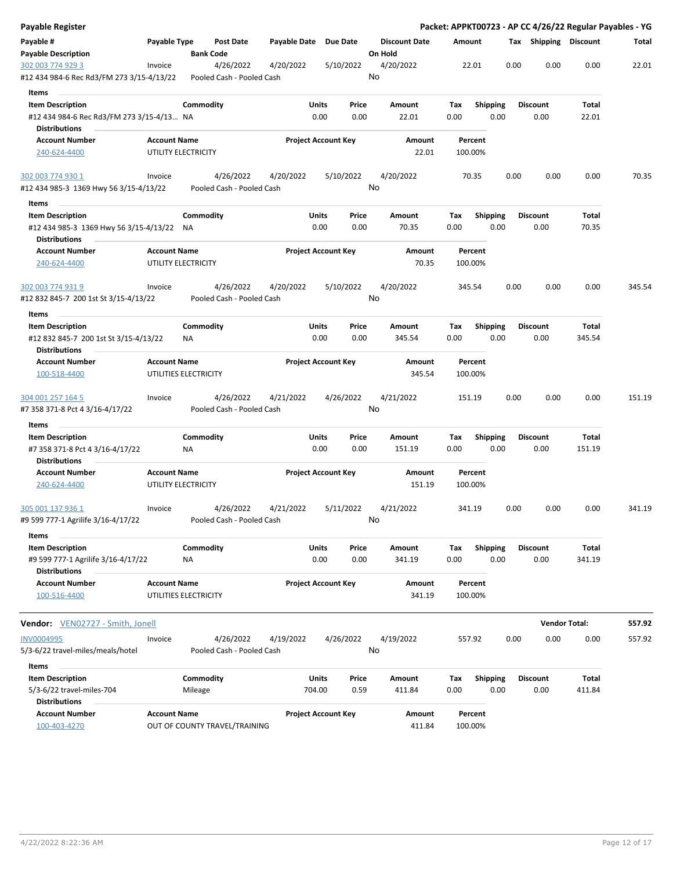| <b>Payable Register</b>                                                                  |                     |                       |                                        |                       |                            |               |                                 |             |                         |      |                         | Packet: APPKT00723 - AP CC 4/26/22 Regular Payables - YG |        |
|------------------------------------------------------------------------------------------|---------------------|-----------------------|----------------------------------------|-----------------------|----------------------------|---------------|---------------------------------|-------------|-------------------------|------|-------------------------|----------------------------------------------------------|--------|
| Payable #<br><b>Payable Description</b>                                                  | Payable Type        | <b>Bank Code</b>      | <b>Post Date</b>                       | Payable Date Due Date |                            |               | <b>Discount Date</b><br>On Hold | Amount      |                         |      | Tax Shipping Discount   |                                                          | Total  |
| 302 003 774 929 3<br>#12 434 984-6 Rec Rd3/FM 273 3/15-4/13/22                           | Invoice             |                       | 4/26/2022<br>Pooled Cash - Pooled Cash | 4/20/2022             | 5/10/2022                  |               | 4/20/2022<br>No                 |             | 22.01                   | 0.00 | 0.00                    | 0.00                                                     | 22.01  |
|                                                                                          |                     |                       |                                        |                       |                            |               |                                 |             |                         |      |                         |                                                          |        |
| Items                                                                                    |                     | Commodity             |                                        |                       | Units                      | Price         | Amount                          | Tax         |                         |      | <b>Discount</b>         | Total                                                    |        |
| <b>Item Description</b><br>#12 434 984-6 Rec Rd3/FM 273 3/15-4/13 NA                     |                     |                       |                                        |                       | 0.00                       | 0.00          | 22.01                           | 0.00        | <b>Shipping</b><br>0.00 |      | 0.00                    | 22.01                                                    |        |
| <b>Distributions</b>                                                                     |                     |                       |                                        |                       |                            |               |                                 |             |                         |      |                         |                                                          |        |
| <b>Account Number</b>                                                                    | <b>Account Name</b> |                       |                                        |                       | <b>Project Account Key</b> |               | Amount                          |             | Percent                 |      |                         |                                                          |        |
| 240-624-4400                                                                             |                     | UTILITY ELECTRICITY   |                                        |                       |                            |               | 22.01                           |             | 100.00%                 |      |                         |                                                          |        |
| 302 003 774 930 1                                                                        | Invoice             |                       | 4/26/2022                              | 4/20/2022             | 5/10/2022                  |               | 4/20/2022                       |             | 70.35                   | 0.00 | 0.00                    | 0.00                                                     | 70.35  |
| #12 434 985-3 1369 Hwy 56 3/15-4/13/22                                                   |                     |                       | Pooled Cash - Pooled Cash              |                       |                            |               | No                              |             |                         |      |                         |                                                          |        |
| Items                                                                                    |                     |                       |                                        |                       |                            |               |                                 |             |                         |      |                         |                                                          |        |
| <b>Item Description</b><br>#12 434 985-3 1369 Hwy 56 3/15-4/13/22 NA                     |                     | Commodity             |                                        |                       | Units<br>0.00              | Price<br>0.00 | Amount<br>70.35                 | Tax<br>0.00 | <b>Shipping</b><br>0.00 |      | <b>Discount</b><br>0.00 | Total<br>70.35                                           |        |
| <b>Distributions</b>                                                                     |                     |                       |                                        |                       |                            |               |                                 |             |                         |      |                         |                                                          |        |
| <b>Account Number</b><br>240-624-4400                                                    | <b>Account Name</b> | UTILITY ELECTRICITY   |                                        |                       | <b>Project Account Key</b> |               | Amount<br>70.35                 |             | Percent<br>100.00%      |      |                         |                                                          |        |
| 302 003 774 931 9                                                                        | Invoice             |                       | 4/26/2022                              | 4/20/2022             | 5/10/2022                  |               | 4/20/2022                       |             | 345.54                  | 0.00 | 0.00                    | 0.00                                                     | 345.54 |
| #12 832 845-7 200 1st St 3/15-4/13/22                                                    |                     |                       | Pooled Cash - Pooled Cash              |                       |                            |               | No                              |             |                         |      |                         |                                                          |        |
| Items                                                                                    |                     |                       |                                        |                       |                            |               |                                 |             |                         |      |                         |                                                          |        |
| <b>Item Description</b><br>#12 832 845-7 200 1st St 3/15-4/13/22<br><b>Distributions</b> |                     | Commodity<br>ΝA       |                                        |                       | Units<br>0.00              | Price<br>0.00 | Amount<br>345.54                | Tax<br>0.00 | <b>Shipping</b><br>0.00 |      | <b>Discount</b><br>0.00 | Total<br>345.54                                          |        |
| <b>Account Number</b><br>100-518-4400                                                    | <b>Account Name</b> | UTILITIES ELECTRICITY |                                        |                       | <b>Project Account Key</b> |               | Amount<br>345.54                |             | Percent<br>100.00%      |      |                         |                                                          |        |
| 304 001 257 164 5<br>#7 358 371-8 Pct 4 3/16-4/17/22                                     | Invoice             |                       | 4/26/2022<br>Pooled Cash - Pooled Cash | 4/21/2022             | 4/26/2022                  |               | 4/21/2022<br>No                 | 151.19      |                         | 0.00 | 0.00                    | 0.00                                                     | 151.19 |
| Items                                                                                    |                     |                       |                                        |                       |                            |               |                                 |             |                         |      |                         |                                                          |        |
| <b>Item Description</b>                                                                  |                     | Commodity             |                                        |                       | Units                      | Price         | Amount                          | Tax         | <b>Shipping</b>         |      | <b>Discount</b>         | Total                                                    |        |
| #7 358 371-8 Pct 4 3/16-4/17/22<br><b>Distributions</b>                                  |                     | ΝA                    |                                        |                       | 0.00                       | 0.00          | 151.19                          | 0.00        | 0.00                    |      | 0.00                    | 151.19                                                   |        |
| <b>Account Number</b>                                                                    | <b>Account Name</b> |                       |                                        |                       | <b>Project Account Key</b> |               | Amount                          |             | Percent                 |      |                         |                                                          |        |
| 240-624-4400                                                                             |                     | UTILITY ELECTRICITY   |                                        |                       |                            |               | 151.19                          |             | 100.00%                 |      |                         |                                                          |        |
| 305 001 137 936 1<br>#9 599 777-1 Agrilife 3/16-4/17/22                                  | Invoice             |                       | 4/26/2022<br>Pooled Cash - Pooled Cash | 4/21/2022             | 5/11/2022                  |               | 4/21/2022<br>No                 |             | 341.19                  | 0.00 | 0.00                    | 0.00                                                     | 341.19 |
| Items                                                                                    |                     |                       |                                        |                       |                            |               |                                 |             |                         |      |                         |                                                          |        |
| <b>Item Description</b>                                                                  |                     | Commodity             |                                        |                       | Units                      | Price         | Amount                          | Tax         | Shipping                |      | <b>Discount</b>         | Total                                                    |        |
| #9 599 777-1 Agrilife 3/16-4/17/22<br><b>Distributions</b>                               |                     | ΝA                    |                                        |                       | 0.00                       | 0.00          | 341.19                          | 0.00        | 0.00                    |      | 0.00                    | 341.19                                                   |        |
| <b>Account Number</b><br>100-516-4400                                                    | <b>Account Name</b> | UTILITIES ELECTRICITY |                                        |                       | <b>Project Account Key</b> |               | Amount<br>341.19                |             | Percent<br>100.00%      |      |                         |                                                          |        |
| <b>Vendor:</b> VEN02727 - Smith, Jonell                                                  |                     |                       |                                        |                       |                            |               |                                 |             |                         |      |                         | <b>Vendor Total:</b>                                     | 557.92 |
| INV0004995                                                                               | Invoice             |                       | 4/26/2022                              | 4/19/2022             | 4/26/2022                  |               | 4/19/2022                       |             | 557.92                  | 0.00 | 0.00                    | 0.00                                                     | 557.92 |
| 5/3-6/22 travel-miles/meals/hotel                                                        |                     |                       | Pooled Cash - Pooled Cash              |                       |                            |               | No                              |             |                         |      |                         |                                                          |        |
| Items                                                                                    |                     |                       |                                        |                       |                            |               |                                 |             |                         |      |                         |                                                          |        |
| <b>Item Description</b>                                                                  |                     | Commodity             |                                        |                       | <b>Units</b>               | Price         | Amount                          | Tax         | <b>Shipping</b>         |      | <b>Discount</b>         | Total                                                    |        |
| 5/3-6/22 travel-miles-704                                                                |                     | Mileage               |                                        |                       | 704.00                     | 0.59          | 411.84                          | 0.00        | 0.00                    |      | 0.00                    | 411.84                                                   |        |
| <b>Distributions</b>                                                                     |                     |                       |                                        |                       |                            |               |                                 |             |                         |      |                         |                                                          |        |
| <b>Account Number</b>                                                                    | <b>Account Name</b> |                       |                                        |                       | <b>Project Account Key</b> |               | Amount                          |             | Percent                 |      |                         |                                                          |        |
| 100-403-4270                                                                             |                     |                       | OUT OF COUNTY TRAVEL/TRAINING          |                       |                            |               | 411.84                          |             | 100.00%                 |      |                         |                                                          |        |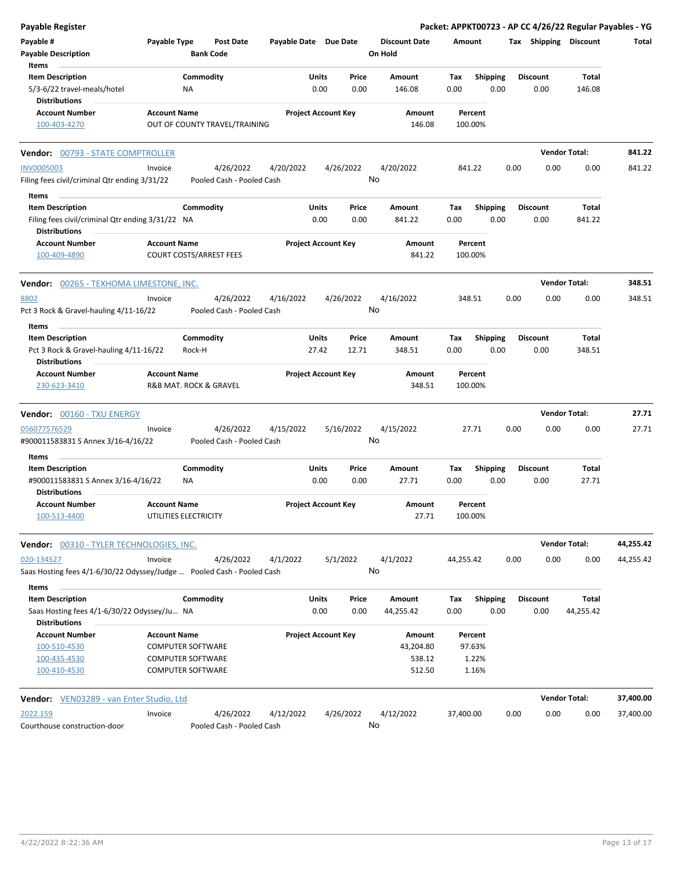| Payable Register                                                                               |                     |                                                      |                                        |                       |                            |                |                                 |                    |                         |      |                         |                      | Packet: APPKT00723 - AP CC 4/26/22 Regular Payables - YG |
|------------------------------------------------------------------------------------------------|---------------------|------------------------------------------------------|----------------------------------------|-----------------------|----------------------------|----------------|---------------------------------|--------------------|-------------------------|------|-------------------------|----------------------|----------------------------------------------------------|
| Payable #<br><b>Payable Description</b>                                                        | Payable Type        | <b>Bank Code</b>                                     | Post Date                              | Payable Date Due Date |                            |                | <b>Discount Date</b><br>On Hold | Amount             |                         |      | Tax Shipping Discount   |                      | Total                                                    |
| Items<br><b>Item Description</b><br>5/3-6/22 travel-meals/hotel<br><b>Distributions</b>        |                     | Commodity<br>NA                                      |                                        |                       | Units<br>0.00              | Price<br>0.00  | Amount<br>146.08                | Tax<br>0.00        | <b>Shipping</b><br>0.00 |      | <b>Discount</b><br>0.00 | Total<br>146.08      |                                                          |
| <b>Account Number</b><br>100-403-4270                                                          | <b>Account Name</b> |                                                      | OUT OF COUNTY TRAVEL/TRAINING          |                       | <b>Project Account Key</b> |                | Amount<br>146.08                | Percent<br>100.00% |                         |      |                         |                      |                                                          |
| <b>Vendor: 00793 - STATE COMPTROLLER</b>                                                       |                     |                                                      |                                        |                       |                            |                |                                 |                    |                         |      |                         | <b>Vendor Total:</b> | 841.22                                                   |
| <b>INV0005003</b>                                                                              | Invoice             |                                                      | 4/26/2022                              | 4/20/2022             |                            | 4/26/2022      | 4/20/2022                       | 841.22             |                         | 0.00 | 0.00                    | 0.00                 | 841.22                                                   |
| Filing fees civil/criminal Qtr ending 3/31/22<br>Items                                         |                     |                                                      | Pooled Cash - Pooled Cash              |                       |                            |                | No                              |                    |                         |      |                         |                      |                                                          |
| <b>Item Description</b>                                                                        |                     | Commodity                                            |                                        |                       | Units                      | Price          | Amount                          | Tax                | <b>Shipping</b>         |      | <b>Discount</b>         | Total                |                                                          |
| Filing fees civil/criminal Qtr ending 3/31/22 NA<br><b>Distributions</b>                       |                     |                                                      |                                        |                       | 0.00                       | 0.00           | 841.22                          | 0.00               | 0.00                    |      | 0.00                    | 841.22               |                                                          |
| <b>Account Number</b><br>100-409-4890                                                          | <b>Account Name</b> | <b>COURT COSTS/ARREST FEES</b>                       |                                        |                       | <b>Project Account Key</b> |                | Amount<br>841.22                | Percent<br>100.00% |                         |      |                         |                      |                                                          |
| <b>Vendor: 00265 - TEXHOMA LIMESTONE, INC.</b>                                                 |                     |                                                      |                                        |                       |                            |                |                                 |                    |                         |      |                         | <b>Vendor Total:</b> | 348.51                                                   |
| 8802<br>Pct 3 Rock & Gravel-hauling 4/11-16/22                                                 | Invoice             |                                                      | 4/26/2022<br>Pooled Cash - Pooled Cash | 4/16/2022             |                            | 4/26/2022      | 4/16/2022<br>No                 | 348.51             |                         | 0.00 | 0.00                    | 0.00                 | 348.51                                                   |
| Items                                                                                          |                     |                                                      |                                        |                       |                            |                |                                 |                    |                         |      |                         |                      |                                                          |
| <b>Item Description</b><br>Pct 3 Rock & Gravel-hauling 4/11-16/22<br><b>Distributions</b>      |                     | Commodity<br>Rock-H                                  |                                        |                       | Units<br>27.42             | Price<br>12.71 | Amount<br>348.51                | Tax<br>0.00        | Shipping<br>0.00        |      | <b>Discount</b><br>0.00 | Total<br>348.51      |                                                          |
| <b>Account Number</b>                                                                          | <b>Account Name</b> |                                                      |                                        |                       | <b>Project Account Key</b> |                | Amount                          | Percent            |                         |      |                         |                      |                                                          |
| 230-623-3410                                                                                   |                     | R&B MAT. ROCK & GRAVEL                               |                                        |                       |                            |                | 348.51                          | 100.00%            |                         |      |                         |                      |                                                          |
| <b>Vendor: 00160 - TXU ENERGY</b>                                                              |                     |                                                      |                                        |                       |                            |                |                                 |                    |                         |      |                         | <b>Vendor Total:</b> | 27.71                                                    |
| 056077576529<br>#900011583831 S Annex 3/16-4/16/22                                             | Invoice             |                                                      | 4/26/2022<br>Pooled Cash - Pooled Cash | 4/15/2022             |                            | 5/16/2022      | 4/15/2022<br>No                 | 27.71              |                         | 0.00 | 0.00                    | 0.00                 | 27.71                                                    |
| Items<br><b>Item Description</b><br>#900011583831 S Annex 3/16-4/16/22<br><b>Distributions</b> |                     | Commodity<br>ΝA                                      |                                        |                       | Units<br>0.00              | Price<br>0.00  | Amount<br>27.71                 | Tax<br>0.00        | <b>Shipping</b><br>0.00 |      | <b>Discount</b><br>0.00 | Total<br>27.71       |                                                          |
| <b>Account Number</b><br>100-513-4400                                                          | <b>Account Name</b> | UTILITIES ELECTRICITY                                |                                        |                       | <b>Project Account Key</b> |                | Amount<br>27.71                 | Percent<br>100.00% |                         |      |                         |                      |                                                          |
| <b>Vendor:</b> 00310 - TYLER TECHNOLOGIES, INC.                                                |                     |                                                      |                                        |                       |                            |                |                                 |                    |                         |      |                         | <b>Vendor Total:</b> | 44,255.42                                                |
| 020-134527<br>Saas Hosting fees 4/1-6/30/22 Odyssey/Judge  Pooled Cash - Pooled Cash           | Invoice             |                                                      | 4/26/2022                              | 4/1/2022              |                            | 5/1/2022       | 4/1/2022<br>No                  | 44,255.42          |                         | 0.00 | 0.00                    | 0.00                 | 44,255.42                                                |
| Items<br><b>Item Description</b>                                                               |                     | Commodity                                            |                                        |                       | Units                      | Price          | Amount                          | Tax                | <b>Shipping</b>         |      | <b>Discount</b>         | Total                |                                                          |
| Saas Hosting fees 4/1-6/30/22 Odyssey/Ju NA<br><b>Distributions</b>                            |                     |                                                      |                                        |                       | 0.00                       | 0.00           | 44,255.42                       | 0.00               | 0.00                    |      | 0.00                    | 44,255.42            |                                                          |
| <b>Account Number</b><br>100-510-4530                                                          | <b>Account Name</b> | <b>COMPUTER SOFTWARE</b>                             |                                        |                       | <b>Project Account Key</b> |                | Amount<br>43,204.80             | Percent            | 97.63%                  |      |                         |                      |                                                          |
| 100-435-4530<br>100-410-4530                                                                   |                     | <b>COMPUTER SOFTWARE</b><br><b>COMPUTER SOFTWARE</b> |                                        |                       |                            |                | 538.12<br>512.50                |                    | 1.22%<br>1.16%          |      |                         |                      |                                                          |
| <b>Vendor:</b> VEN03289 - van Enter Studio, Ltd                                                |                     |                                                      |                                        |                       |                            |                |                                 |                    |                         |      |                         | <b>Vendor Total:</b> | 37,400.00                                                |
| 2022.159<br>Courthouse construction-door                                                       | Invoice             |                                                      | 4/26/2022<br>Pooled Cash - Pooled Cash | 4/12/2022             |                            | 4/26/2022      | 4/12/2022<br>No                 | 37,400.00          |                         | 0.00 | 0.00                    | 0.00                 | 37,400.00                                                |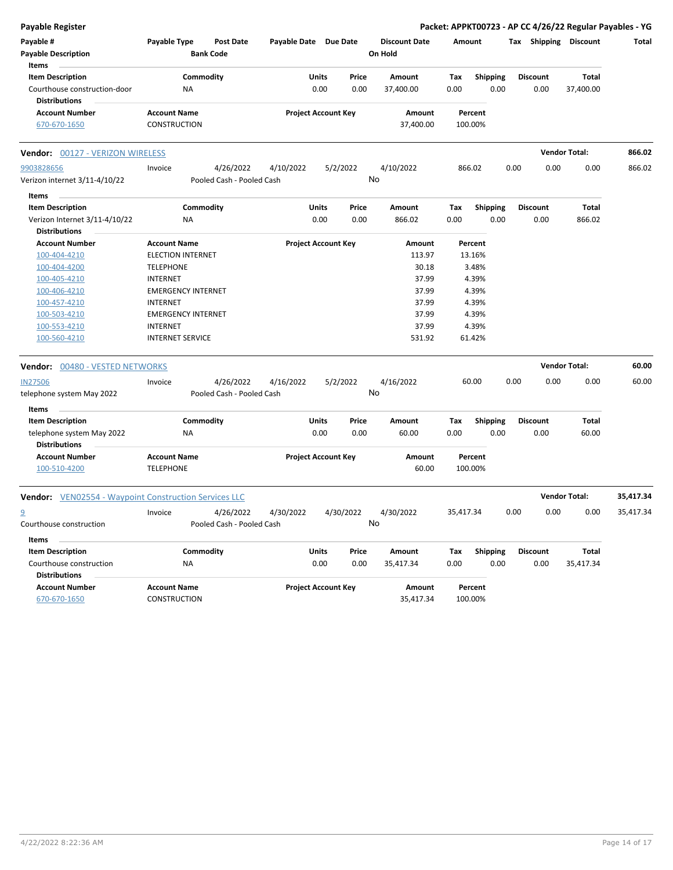| <b>Payable Register</b>                                      |                           |                           |                            |              |       |                      |           |                 |      |                 |                       | Packet: APPKT00723 - AP CC 4/26/22 Regular Payables - YG |
|--------------------------------------------------------------|---------------------------|---------------------------|----------------------------|--------------|-------|----------------------|-----------|-----------------|------|-----------------|-----------------------|----------------------------------------------------------|
| Payable #                                                    | Payable Type              | <b>Post Date</b>          | Payable Date Due Date      |              |       | <b>Discount Date</b> | Amount    |                 |      |                 | Tax Shipping Discount | Total                                                    |
| <b>Payable Description</b><br>Items                          |                           | <b>Bank Code</b>          |                            |              |       | On Hold              |           |                 |      |                 |                       |                                                          |
| <b>Item Description</b>                                      |                           | Commodity                 |                            | Units        | Price | Amount               | Tax       | <b>Shipping</b> |      | <b>Discount</b> | Total                 |                                                          |
| Courthouse construction-door<br><b>Distributions</b>         | NA                        |                           |                            | 0.00         | 0.00  | 37,400.00            | 0.00      | 0.00            |      | 0.00            | 37,400.00             |                                                          |
| <b>Account Number</b>                                        | <b>Account Name</b>       |                           | <b>Project Account Key</b> |              |       | Amount               | Percent   |                 |      |                 |                       |                                                          |
| 670-670-1650                                                 | CONSTRUCTION              |                           |                            |              |       | 37,400.00            | 100.00%   |                 |      |                 |                       |                                                          |
| Vendor: 00127 - VERIZON WIRELESS                             |                           |                           |                            |              |       |                      |           |                 |      |                 | <b>Vendor Total:</b>  | 866.02                                                   |
| 9903828656                                                   | Invoice                   | 4/26/2022                 | 4/10/2022                  | 5/2/2022     |       | 4/10/2022            | 866.02    |                 | 0.00 | 0.00            | 0.00                  | 866.02                                                   |
| Verizon internet 3/11-4/10/22                                |                           | Pooled Cash - Pooled Cash |                            |              |       | No                   |           |                 |      |                 |                       |                                                          |
| Items                                                        |                           |                           |                            |              |       |                      |           |                 |      |                 |                       |                                                          |
| <b>Item Description</b>                                      |                           | Commodity                 |                            | Units        | Price | Amount               | Тах       | <b>Shipping</b> |      | <b>Discount</b> | Total                 |                                                          |
| Verizon Internet 3/11-4/10/22<br><b>Distributions</b>        | ΝA                        |                           |                            | 0.00         | 0.00  | 866.02               | 0.00      | 0.00            |      | 0.00            | 866.02                |                                                          |
| <b>Account Number</b>                                        | <b>Account Name</b>       |                           | <b>Project Account Key</b> |              |       | Amount               | Percent   |                 |      |                 |                       |                                                          |
| 100-404-4210                                                 | <b>ELECTION INTERNET</b>  |                           |                            |              |       | 113.97               | 13.16%    |                 |      |                 |                       |                                                          |
| 100-404-4200                                                 | <b>TELEPHONE</b>          |                           |                            |              |       | 30.18                |           | 3.48%           |      |                 |                       |                                                          |
| 100-405-4210                                                 | <b>INTERNET</b>           |                           |                            |              |       | 37.99                |           | 4.39%           |      |                 |                       |                                                          |
| 100-406-4210                                                 | <b>EMERGENCY INTERNET</b> |                           |                            |              |       | 37.99                |           | 4.39%           |      |                 |                       |                                                          |
| 100-457-4210                                                 | <b>INTERNET</b>           |                           |                            |              |       | 37.99                |           | 4.39%           |      |                 |                       |                                                          |
| 100-503-4210                                                 | <b>EMERGENCY INTERNET</b> |                           |                            |              |       | 37.99                |           | 4.39%           |      |                 |                       |                                                          |
| 100-553-4210                                                 | <b>INTERNET</b>           |                           |                            |              |       | 37.99                |           | 4.39%           |      |                 |                       |                                                          |
| 100-560-4210                                                 | <b>INTERNET SERVICE</b>   |                           |                            |              |       | 531.92               | 61.42%    |                 |      |                 |                       |                                                          |
| 00480 - VESTED NETWORKS<br>Vendor:                           |                           |                           |                            |              |       |                      |           |                 |      |                 | <b>Vendor Total:</b>  | 60.00                                                    |
| <b>IN27506</b>                                               | Invoice                   | 4/26/2022                 | 4/16/2022                  | 5/2/2022     |       | 4/16/2022            | 60.00     |                 | 0.00 | 0.00            | 0.00                  | 60.00                                                    |
| telephone system May 2022                                    |                           | Pooled Cash - Pooled Cash |                            |              |       | No                   |           |                 |      |                 |                       |                                                          |
| Items<br><b>Item Description</b>                             |                           | Commodity                 |                            | Units        | Price | Amount               | Tax       | <b>Shipping</b> |      | <b>Discount</b> | Total                 |                                                          |
| telephone system May 2022<br><b>Distributions</b>            | ΝA                        |                           |                            | 0.00         | 0.00  | 60.00                | 0.00      | 0.00            |      | 0.00            | 60.00                 |                                                          |
| <b>Account Number</b>                                        | <b>Account Name</b>       |                           | <b>Project Account Key</b> |              |       | Amount               | Percent   |                 |      |                 |                       |                                                          |
| 100-510-4200                                                 | <b>TELEPHONE</b>          |                           |                            |              |       | 60.00                | 100.00%   |                 |      |                 |                       |                                                          |
| <b>Vendor:</b> VEN02554 - Waypoint Construction Services LLC |                           |                           |                            |              |       |                      |           |                 |      |                 | <b>Vendor Total:</b>  | 35,417.34                                                |
| 9                                                            | Invoice                   | 4/26/2022                 | 4/30/2022                  | 4/30/2022    |       | 4/30/2022            | 35,417.34 |                 | 0.00 | 0.00            | 0.00                  | 35,417.34                                                |
| Courthouse construction                                      |                           | Pooled Cash - Pooled Cash |                            |              |       | No                   |           |                 |      |                 |                       |                                                          |
| Items                                                        |                           |                           |                            |              |       |                      |           |                 |      |                 |                       |                                                          |
| <b>Item Description</b>                                      |                           | Commodity                 |                            | <b>Units</b> | Price | Amount               | Tax       | <b>Shipping</b> |      | <b>Discount</b> | Total                 |                                                          |
| Courthouse construction<br><b>Distributions</b>              | NA                        |                           |                            | 0.00         | 0.00  | 35,417.34            | 0.00      | 0.00            |      | 0.00            | 35,417.34             |                                                          |
| <b>Account Number</b>                                        | <b>Account Name</b>       |                           | <b>Project Account Key</b> |              |       | Amount               | Percent   |                 |      |                 |                       |                                                          |
| 670-670-1650                                                 | <b>CONSTRUCTION</b>       |                           |                            |              |       | 35,417.34            | 100.00%   |                 |      |                 |                       |                                                          |
|                                                              |                           |                           |                            |              |       |                      |           |                 |      |                 |                       |                                                          |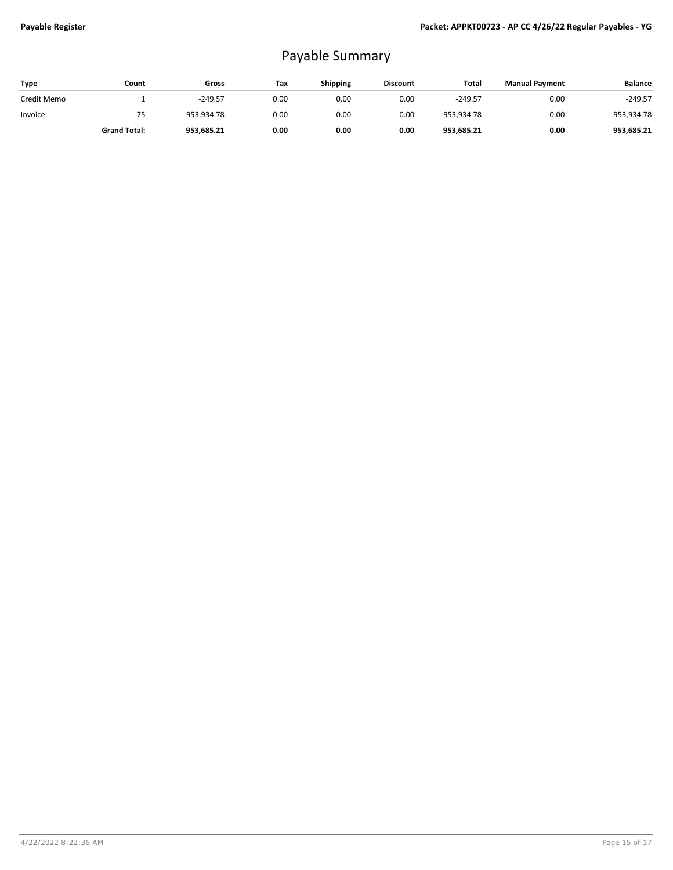## Payable Summary

| <b>Type</b> | Count               | Gross      | Tax  | <b>Shipping</b> | <b>Discount</b> | Total      | <b>Manual Payment</b> | <b>Balance</b> |
|-------------|---------------------|------------|------|-----------------|-----------------|------------|-----------------------|----------------|
| Credit Memo |                     | $-249.57$  | 0.00 | 0.00            | 0.00            | $-249.57$  | 0.00                  | $-249.57$      |
| Invoice     | 75                  | 953.934.78 | 0.00 | 0.00            | 0.00            | 953,934.78 | 0.00                  | 953,934.78     |
|             | <b>Grand Total:</b> | 953,685.21 | 0.00 | 0.00            | 0.00            | 953,685.21 | 0.00                  | 953,685.21     |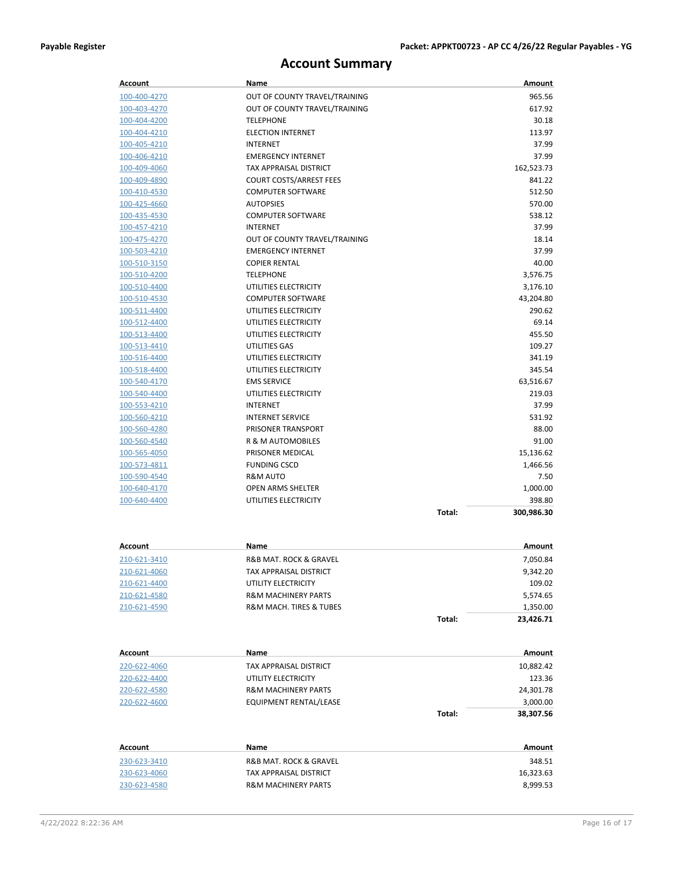## **Account Summary**

| Account                      | Name                                          |        | Amount          |
|------------------------------|-----------------------------------------------|--------|-----------------|
| 100-400-4270                 | OUT OF COUNTY TRAVEL/TRAINING                 |        | 965.56          |
| 100-403-4270                 | OUT OF COUNTY TRAVEL/TRAINING                 |        | 617.92          |
| 100-404-4200                 | <b>TELEPHONE</b>                              |        | 30.18           |
| 100-404-4210                 | <b>ELECTION INTERNET</b>                      |        | 113.97          |
| <u>100-405-4210</u>          | <b>INTERNET</b>                               |        | 37.99           |
| 100-406-4210                 | <b>EMERGENCY INTERNET</b>                     |        | 37.99           |
| 100-409-4060                 | TAX APPRAISAL DISTRICT                        |        | 162,523.73      |
| 100-409-4890                 | <b>COURT COSTS/ARREST FEES</b>                |        | 841.22          |
| 100-410-4530                 | <b>COMPUTER SOFTWARE</b>                      |        | 512.50          |
| 100-425-4660                 | <b>AUTOPSIES</b>                              |        | 570.00          |
| 100-435-4530                 | <b>COMPUTER SOFTWARE</b>                      |        | 538.12          |
| 100-457-4210                 | <b>INTERNET</b>                               |        | 37.99           |
| 100-475-4270                 | OUT OF COUNTY TRAVEL/TRAINING                 |        | 18.14           |
| 100-503-4210                 | <b>EMERGENCY INTERNET</b>                     |        | 37.99           |
| 100-510-3150                 | <b>COPIER RENTAL</b>                          |        | 40.00           |
| 100-510-4200                 | <b>TELEPHONE</b>                              |        | 3,576.75        |
| 100-510-4400                 | UTILITIES ELECTRICITY                         |        | 3,176.10        |
| 100-510-4530                 | <b>COMPUTER SOFTWARE</b>                      |        | 43,204.80       |
| 100-511-4400                 | UTILITIES ELECTRICITY                         |        | 290.62          |
| 100-512-4400                 | UTILITIES ELECTRICITY                         |        | 69.14           |
| 100-513-4400                 | UTILITIES ELECTRICITY                         |        | 455.50          |
| 100-513-4410                 | UTILITIES GAS                                 |        | 109.27          |
| 100-516-4400                 | UTILITIES ELECTRICITY                         |        | 341.19          |
| 100-518-4400                 | UTILITIES ELECTRICITY                         |        | 345.54          |
| 100-540-4170                 | <b>EMS SERVICE</b>                            |        | 63,516.67       |
| 100-540-4400                 | UTILITIES ELECTRICITY                         |        | 219.03          |
| 100-553-4210                 | <b>INTERNET</b>                               |        | 37.99           |
| 100-560-4210                 | <b>INTERNET SERVICE</b><br>PRISONER TRANSPORT |        | 531.92<br>88.00 |
| 100-560-4280                 | R & M AUTOMOBILES                             |        | 91.00           |
| 100-560-4540<br>100-565-4050 | PRISONER MEDICAL                              |        | 15,136.62       |
| 100-573-4811                 | <b>FUNDING CSCD</b>                           |        | 1,466.56        |
| 100-590-4540                 | R&M AUTO                                      |        | 7.50            |
| 100-640-4170                 | OPEN ARMS SHELTER                             |        | 1,000.00        |
| 100-640-4400                 | UTILITIES ELECTRICITY                         |        | 398.80          |
|                              |                                               | Total: | 300,986.30      |
|                              |                                               |        |                 |
|                              | Name                                          |        |                 |
| Account                      |                                               |        | Amount          |
| 210-621-3410                 | <b>R&amp;B MAT. ROCK &amp; GRAVEL</b>         |        | 7,050.84        |
| 210-621-4060                 | TAX APPRAISAL DISTRICT                        |        | 9,342.20        |
| 210-621-4400                 | UTILITY ELECTRICITY                           |        | 109.02          |
| 210-621-4580                 | <b>R&amp;M MACHINERY PARTS</b>                |        | 5,574.65        |
| 210-621-4590                 | R&M MACH. TIRES & TUBES                       |        | 1,350.00        |
|                              |                                               | Total: | 23,426.71       |
|                              |                                               |        |                 |
| <b>Account</b>               | Name                                          |        | Amount          |
| 220-622-4060                 | TAX APPRAISAL DISTRICT                        |        | 10,882.42       |
| 220-622-4400                 | UTILITY ELECTRICITY                           |        | 123.36          |
| 220-622-4580                 | <b>R&amp;M MACHINERY PARTS</b>                |        | 24,301.78       |
| 220-622-4600                 | EQUIPMENT RENTAL/LEASE                        |        | 3,000.00        |
|                              |                                               | Total: | 38,307.56       |
| <b>Account</b>               | Name                                          |        | Amount          |
| 230-623-3410                 | R&B MAT. ROCK & GRAVEL                        |        | 348.51          |
|                              | TAX APPRAISAL DISTRICT                        |        | 16,323.63       |
| 230-623-4060<br>230-623-4580 | <b>R&amp;M MACHINERY PARTS</b>                |        |                 |
|                              |                                               |        | 8,999.53        |